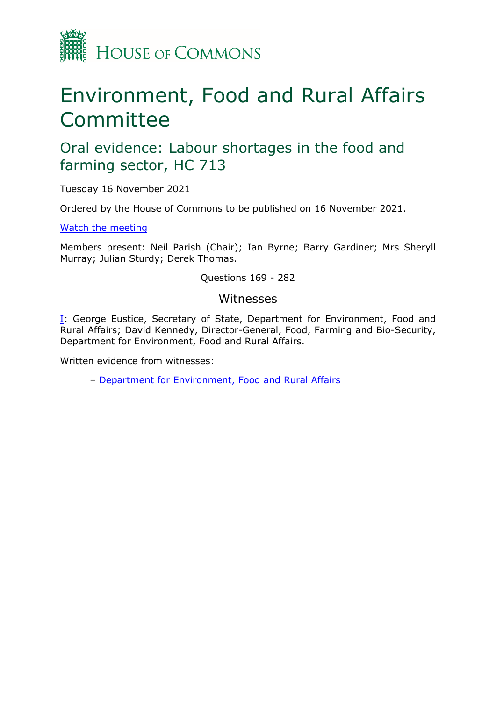

# Environment, Food and Rural Affairs Committee

# Oral evidence: Labour shortages in the food and farming sector, HC 713

Tuesday 16 November 2021

Ordered by the House of Commons to be published on 16 November 2021.

[Watch](https://www.parliamentlive.tv/Event/Index/e4b0365f-1d36-4f17-8c3c-9368de782999) [the](https://www.parliamentlive.tv/Event/Index/e4b0365f-1d36-4f17-8c3c-9368de782999) [meeting](https://www.parliamentlive.tv/Event/Index/e4b0365f-1d36-4f17-8c3c-9368de782999)

Members present: Neil Parish (Chair); Ian Byrne; Barry Gardiner; Mrs Sheryll Murray; Julian Sturdy; Derek Thomas.

Questions 169 - 282

### Witnesses

[I:](#page-1-0) George Eustice, Secretary of State, Department for Environment, Food and Rural Affairs; David Kennedy, Director-General, Food, Farming and Bio-Security, Department for Environment, Food and Rural Affairs.

Written evidence from witnesses:

– [Department](https://committees.parliament.uk/writtenevidence/40707/pdf/) [for](https://committees.parliament.uk/writtenevidence/40707/pdf/) [Environment,](https://committees.parliament.uk/writtenevidence/40707/pdf/) [Food](https://committees.parliament.uk/writtenevidence/40707/pdf/) [and](https://committees.parliament.uk/writtenevidence/40707/pdf/) [Rural](https://committees.parliament.uk/writtenevidence/40707/pdf/) [Affairs](https://committees.parliament.uk/writtenevidence/40707/pdf/)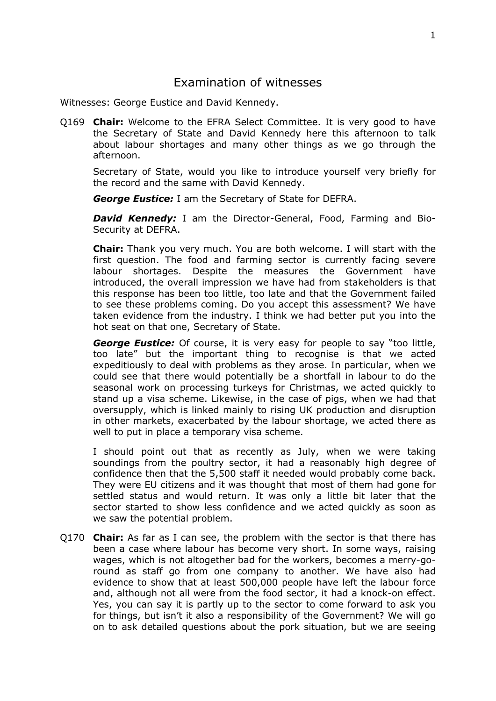# <span id="page-1-0"></span>Examination of witnesses

Witnesses: George Eustice and David Kennedy.

Q169 **Chair:** Welcome to the EFRA Select Committee. It is very good to have the Secretary of State and David Kennedy here this afternoon to talk about labour shortages and many other things as we go through the afternoon.

Secretary of State, would you like to introduce yourself very briefly for the record and the same with David Kennedy.

*George Eustice:* I am the Secretary of State for DEFRA.

*David Kennedy:* I am the Director-General, Food, Farming and Bio-Security at DEFRA.

**Chair:** Thank you very much. You are both welcome. I will start with the first question. The food and farming sector is currently facing severe labour shortages. Despite the measures the Government have introduced, the overall impression we have had from stakeholders is that this response has been too little, too late and that the Government failed to see these problems coming. Do you accept this assessment? We have taken evidence from the industry. I think we had better put you into the hot seat on that one, Secretary of State.

*George Eustice:* Of course, it is very easy for people to say "too little, too late" but the important thing to recognise is that we acted expeditiously to deal with problems as they arose. In particular, when we could see that there would potentially be a shortfall in labour to do the seasonal work on processing turkeys for Christmas, we acted quickly to stand up a visa scheme. Likewise, in the case of pigs, when we had that oversupply, which is linked mainly to rising UK production and disruption in other markets, exacerbated by the labour shortage, we acted there as well to put in place a temporary visa scheme.

I should point out that as recently as July, when we were taking soundings from the poultry sector, it had a reasonably high degree of confidence then that the 5,500 staff it needed would probably come back. They were EU citizens and it was thought that most of them had gone for settled status and would return. It was only a little bit later that the sector started to show less confidence and we acted quickly as soon as we saw the potential problem.

Q170 **Chair:** As far as I can see, the problem with the sector is that there has been a case where labour has become very short. In some ways, raising wages, which is not altogether bad for the workers, becomes a merry-goround as staff go from one company to another. We have also had evidence to show that at least 500,000 people have left the labour force and, although not all were from the food sector, it had a knock-on effect. Yes, you can say it is partly up to the sector to come forward to ask you for things, but isn't it also a responsibility of the Government? We will go on to ask detailed questions about the pork situation, but we are seeing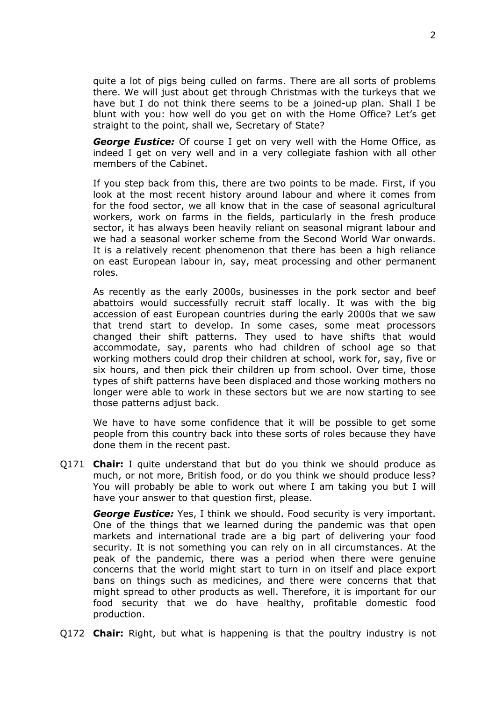quite a lot of pigs being culled on farms. There are all sorts of problems there. We will just about get through Christmas with the turkeys that we have but I do not think there seems to be a joined-up plan. Shall I be blunt with you: how well do you get on with the Home Office? Let's get straight to the point, shall we, Secretary of State?

*George Eustice:* Of course I get on very well with the Home Office, as indeed I get on very well and in a very collegiate fashion with all other members of the Cabinet.

If you step back from this, there are two points to be made. First, if you look at the most recent history around labour and where it comes from for the food sector, we all know that in the case of seasonal agricultural workers, work on farms in the fields, particularly in the fresh produce sector, it has always been heavily reliant on seasonal migrant labour and we had a seasonal worker scheme from the Second World War onwards. It is a relatively recent phenomenon that there has been a high reliance on east European labour in, say, meat processing and other permanent roles.

As recently as the early 2000s, businesses in the pork sector and beef abattoirs would successfully recruit staff locally. It was with the big accession of east European countries during the early 2000s that we saw that trend start to develop. In some cases, some meat processors changed their shift patterns. They used to have shifts that would accommodate, say, parents who had children of school age so that working mothers could drop their children at school, work for, say, five or six hours, and then pick their children up from school. Over time, those types of shift patterns have been displaced and those working mothers no longer were able to work in these sectors but we are now starting to see those patterns adjust back.

We have to have some confidence that it will be possible to get some people from this country back into these sorts of roles because they have done them in the recent past.

Q171 **Chair:** I quite understand that but do you think we should produce as much, or not more, British food, or do you think we should produce less? You will probably be able to work out where I am taking you but I will have your answer to that question first, please.

*George Eustice:* Yes, I think we should. Food security is very important. One of the things that we learned during the pandemic was that open markets and international trade are a big part of delivering your food security. It is not something you can rely on in all circumstances. At the peak of the pandemic, there was a period when there were genuine concerns that the world might start to turn in on itself and place export bans on things such as medicines, and there were concerns that that might spread to other products as well. Therefore, it is important for our food security that we do have healthy, profitable domestic food production.

Q172 **Chair:** Right, but what is happening is that the poultry industry is not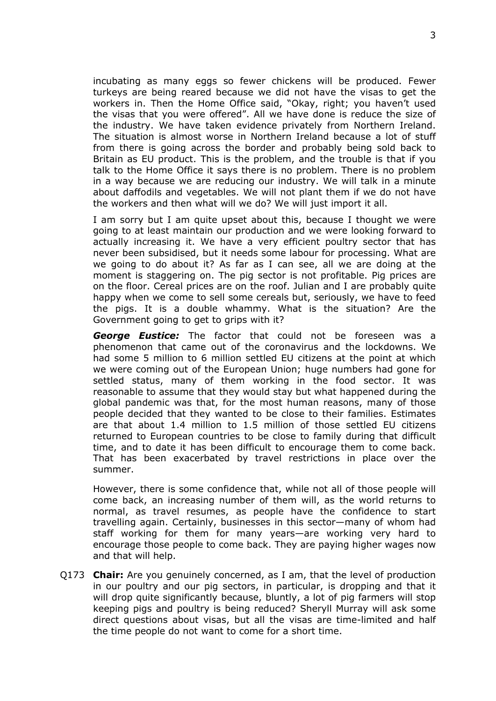incubating as many eggs so fewer chickens will be produced. Fewer turkeys are being reared because we did not have the visas to get the workers in. Then the Home Office said, "Okay, right; you haven't used the visas that you were offered". All we have done is reduce the size of the industry. We have taken evidence privately from Northern Ireland. The situation is almost worse in Northern Ireland because a lot of stuff from there is going across the border and probably being sold back to Britain as EU product. This is the problem, and the trouble is that if you talk to the Home Office it says there is no problem. There is no problem in a way because we are reducing our industry. We will talk in a minute about daffodils and vegetables. We will not plant them if we do not have the workers and then what will we do? We will just import it all.

I am sorry but I am quite upset about this, because I thought we were going to at least maintain our production and we were looking forward to actually increasing it. We have a very efficient poultry sector that has never been subsidised, but it needs some labour for processing. What are we going to do about it? As far as I can see, all we are doing at the moment is staggering on. The pig sector is not profitable. Pig prices are on the floor. Cereal prices are on the roof. Julian and I are probably quite happy when we come to sell some cereals but, seriously, we have to feed the pigs. It is a double whammy. What is the situation? Are the Government going to get to grips with it?

*George Eustice:* The factor that could not be foreseen was a phenomenon that came out of the coronavirus and the lockdowns. We had some 5 million to 6 million settled EU citizens at the point at which we were coming out of the European Union; huge numbers had gone for settled status, many of them working in the food sector. It was reasonable to assume that they would stay but what happened during the global pandemic was that, for the most human reasons, many of those people decided that they wanted to be close to their families. Estimates are that about 1.4 million to 1.5 million of those settled EU citizens returned to European countries to be close to family during that difficult time, and to date it has been difficult to encourage them to come back. That has been exacerbated by travel restrictions in place over the summer.

However, there is some confidence that, while not all of those people will come back, an increasing number of them will, as the world returns to normal, as travel resumes, as people have the confidence to start travelling again. Certainly, businesses in this sector—many of whom had staff working for them for many years—are working very hard to encourage those people to come back. They are paying higher wages now and that will help.

Q173 **Chair:** Are you genuinely concerned, as I am, that the level of production in our poultry and our pig sectors, in particular, is dropping and that it will drop quite significantly because, bluntly, a lot of pig farmers will stop keeping pigs and poultry is being reduced? Sheryll Murray will ask some direct questions about visas, but all the visas are time-limited and half the time people do not want to come for a short time.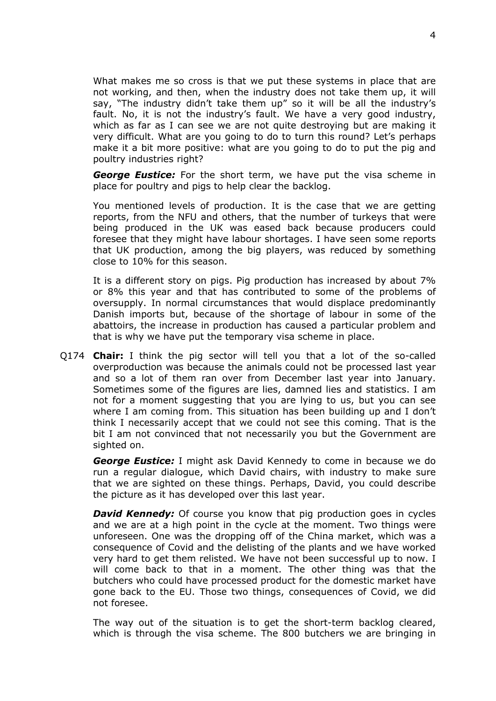What makes me so cross is that we put these systems in place that are not working, and then, when the industry does not take them up, it will say, "The industry didn't take them up" so it will be all the industry's fault. No, it is not the industry's fault. We have a very good industry, which as far as I can see we are not quite destroying but are making it very difficult. What are you going to do to turn this round? Let's perhaps make it a bit more positive: what are you going to do to put the pig and poultry industries right?

*George Eustice:* For the short term, we have put the visa scheme in place for poultry and pigs to help clear the backlog.

You mentioned levels of production. It is the case that we are getting reports, from the NFU and others, that the number of turkeys that were being produced in the UK was eased back because producers could foresee that they might have labour shortages. I have seen some reports that UK production, among the big players, was reduced by something close to 10% for this season.

It is a different story on pigs. Pig production has increased by about 7% or 8% this year and that has contributed to some of the problems of oversupply. In normal circumstances that would displace predominantly Danish imports but, because of the shortage of labour in some of the abattoirs, the increase in production has caused a particular problem and that is why we have put the temporary visa scheme in place.

Q174 **Chair:** I think the pig sector will tell you that a lot of the so-called overproduction was because the animals could not be processed last year and so a lot of them ran over from December last year into January. Sometimes some of the figures are lies, damned lies and statistics. I am not for a moment suggesting that you are lying to us, but you can see where I am coming from. This situation has been building up and I don't think I necessarily accept that we could not see this coming. That is the bit I am not convinced that not necessarily you but the Government are sighted on.

*George Eustice:* I might ask David Kennedy to come in because we do run a regular dialogue, which David chairs, with industry to make sure that we are sighted on these things. Perhaps, David, you could describe the picture as it has developed over this last year.

*David Kennedy:* Of course you know that pig production goes in cycles and we are at a high point in the cycle at the moment. Two things were unforeseen. One was the dropping off of the China market, which was a consequence of Covid and the delisting of the plants and we have worked very hard to get them relisted. We have not been successful up to now. I will come back to that in a moment. The other thing was that the butchers who could have processed product for the domestic market have gone back to the EU. Those two things, consequences of Covid, we did not foresee.

The way out of the situation is to get the short-term backlog cleared, which is through the visa scheme. The 800 butchers we are bringing in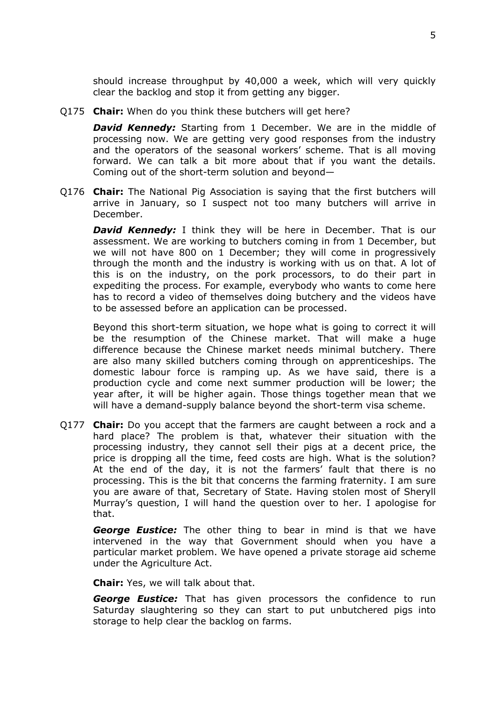should increase throughput by 40,000 a week, which will very quickly clear the backlog and stop it from getting any bigger.

Q175 **Chair:** When do you think these butchers will get here?

*David Kennedy:* Starting from 1 December. We are in the middle of processing now. We are getting very good responses from the industry and the operators of the seasonal workers' scheme. That is all moving forward. We can talk a bit more about that if you want the details. Coming out of the short-term solution and beyond—

Q176 **Chair:** The National Pig Association is saying that the first butchers will arrive in January, so I suspect not too many butchers will arrive in December.

**David Kennedy:** I think they will be here in December. That is our assessment. We are working to butchers coming in from 1 December, but we will not have 800 on 1 December; they will come in progressively through the month and the industry is working with us on that. A lot of this is on the industry, on the pork processors, to do their part in expediting the process. For example, everybody who wants to come here has to record a video of themselves doing butchery and the videos have to be assessed before an application can be processed.

Beyond this short-term situation, we hope what is going to correct it will be the resumption of the Chinese market. That will make a huge difference because the Chinese market needs minimal butchery. There are also many skilled butchers coming through on apprenticeships. The domestic labour force is ramping up. As we have said, there is a production cycle and come next summer production will be lower; the year after, it will be higher again. Those things together mean that we will have a demand-supply balance beyond the short-term visa scheme.

Q177 **Chair:** Do you accept that the farmers are caught between a rock and a hard place? The problem is that, whatever their situation with the processing industry, they cannot sell their pigs at a decent price, the price is dropping all the time, feed costs are high. What is the solution? At the end of the day, it is not the farmers' fault that there is no processing. This is the bit that concerns the farming fraternity. I am sure you are aware of that, Secretary of State. Having stolen most of Sheryll Murray's question, I will hand the question over to her. I apologise for that.

*George Eustice:* The other thing to bear in mind is that we have intervened in the way that Government should when you have a particular market problem. We have opened a private storage aid scheme under the Agriculture Act.

**Chair:** Yes, we will talk about that.

*George Eustice:* That has given processors the confidence to run Saturday slaughtering so they can start to put unbutchered pigs into storage to help clear the backlog on farms.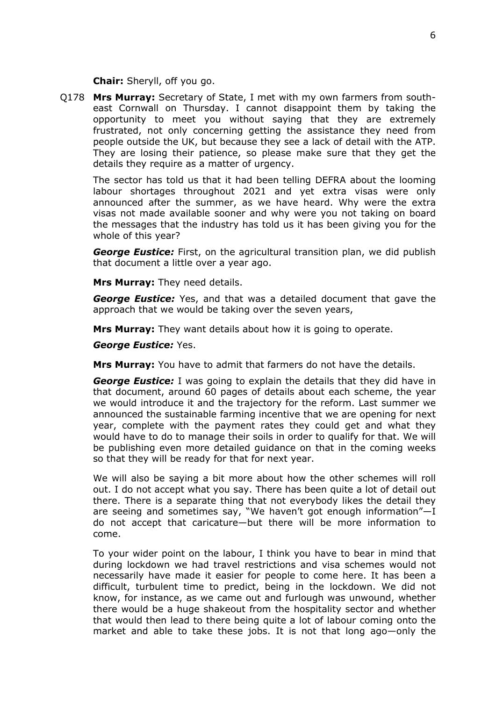**Chair:** Sheryll, off you go.

Q178 **Mrs Murray:** Secretary of State, I met with my own farmers from southeast Cornwall on Thursday. I cannot disappoint them by taking the opportunity to meet you without saying that they are extremely frustrated, not only concerning getting the assistance they need from people outside the UK, but because they see a lack of detail with the ATP. They are losing their patience, so please make sure that they get the details they require as a matter of urgency.

The sector has told us that it had been telling DEFRA about the looming labour shortages throughout 2021 and yet extra visas were only announced after the summer, as we have heard. Why were the extra visas not made available sooner and why were you not taking on board the messages that the industry has told us it has been giving you for the whole of this year?

*George Eustice:* First, on the agricultural transition plan, we did publish that document a little over a year ago.

**Mrs Murray:** They need details.

*George Eustice:* Yes, and that was a detailed document that gave the approach that we would be taking over the seven years,

**Mrs Murray:** They want details about how it is going to operate.

*George Eustice:* Yes.

**Mrs Murray:** You have to admit that farmers do not have the details.

*George Eustice:* I was going to explain the details that they did have in that document, around 60 pages of details about each scheme, the year we would introduce it and the trajectory for the reform. Last summer we announced the sustainable farming incentive that we are opening for next year, complete with the payment rates they could get and what they would have to do to manage their soils in order to qualify for that. We will be publishing even more detailed guidance on that in the coming weeks so that they will be ready for that for next year.

We will also be saying a bit more about how the other schemes will roll out. I do not accept what you say. There has been quite a lot of detail out there. There is a separate thing that not everybody likes the detail they are seeing and sometimes say, "We haven't got enough information"—I do not accept that caricature—but there will be more information to come.

To your wider point on the labour, I think you have to bear in mind that during lockdown we had travel restrictions and visa schemes would not necessarily have made it easier for people to come here. It has been a difficult, turbulent time to predict, being in the lockdown. We did not know, for instance, as we came out and furlough was unwound, whether there would be a huge shakeout from the hospitality sector and whether that would then lead to there being quite a lot of labour coming onto the market and able to take these jobs. It is not that long ago—only the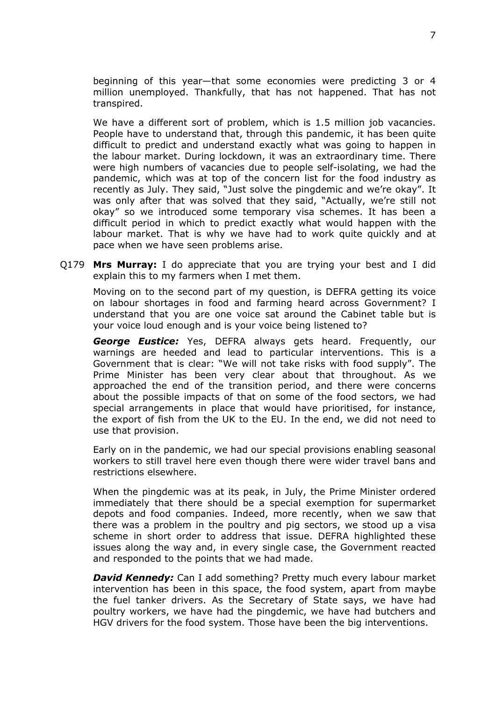beginning of this year—that some economies were predicting 3 or 4 million unemployed. Thankfully, that has not happened. That has not transpired.

We have a different sort of problem, which is 1.5 million job vacancies. People have to understand that, through this pandemic, it has been quite difficult to predict and understand exactly what was going to happen in the labour market. During lockdown, it was an extraordinary time. There were high numbers of vacancies due to people self-isolating, we had the pandemic, which was at top of the concern list for the food industry as recently as July. They said, "Just solve the pingdemic and we're okay". It was only after that was solved that they said, "Actually, we're still not okay" so we introduced some temporary visa schemes. It has been a difficult period in which to predict exactly what would happen with the labour market. That is why we have had to work quite quickly and at pace when we have seen problems arise.

Q179 **Mrs Murray:** I do appreciate that you are trying your best and I did explain this to my farmers when I met them.

Moving on to the second part of my question, is DEFRA getting its voice on labour shortages in food and farming heard across Government? I understand that you are one voice sat around the Cabinet table but is your voice loud enough and is your voice being listened to?

*George Eustice:* Yes, DEFRA always gets heard. Frequently, our warnings are heeded and lead to particular interventions. This is a Government that is clear: "We will not take risks with food supply". The Prime Minister has been very clear about that throughout. As we approached the end of the transition period, and there were concerns about the possible impacts of that on some of the food sectors, we had special arrangements in place that would have prioritised, for instance, the export of fish from the UK to the EU. In the end, we did not need to use that provision.

Early on in the pandemic, we had our special provisions enabling seasonal workers to still travel here even though there were wider travel bans and restrictions elsewhere.

When the pingdemic was at its peak, in July, the Prime Minister ordered immediately that there should be a special exemption for supermarket depots and food companies. Indeed, more recently, when we saw that there was a problem in the poultry and pig sectors, we stood up a visa scheme in short order to address that issue. DEFRA highlighted these issues along the way and, in every single case, the Government reacted and responded to the points that we had made.

*David Kennedy:* Can I add something? Pretty much every labour market intervention has been in this space, the food system, apart from maybe the fuel tanker drivers. As the Secretary of State says, we have had poultry workers, we have had the pingdemic, we have had butchers and HGV drivers for the food system. Those have been the big interventions.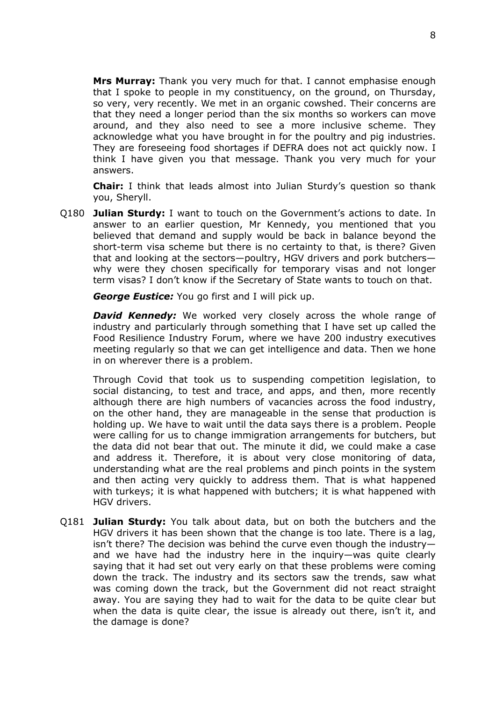**Mrs Murray:** Thank you very much for that. I cannot emphasise enough that I spoke to people in my constituency, on the ground, on Thursday, so very, very recently. We met in an organic cowshed. Their concerns are that they need a longer period than the six months so workers can move around, and they also need to see a more inclusive scheme. They acknowledge what you have brought in for the poultry and pig industries. They are foreseeing food shortages if DEFRA does not act quickly now. I think I have given you that message. Thank you very much for your answers.

**Chair:** I think that leads almost into Julian Sturdy's question so thank you, Sheryll.

Q180 **Julian Sturdy:** I want to touch on the Government's actions to date. In answer to an earlier question, Mr Kennedy, you mentioned that you believed that demand and supply would be back in balance beyond the short-term visa scheme but there is no certainty to that, is there? Given that and looking at the sectors—poultry, HGV drivers and pork butchers why were they chosen specifically for temporary visas and not longer term visas? I don't know if the Secretary of State wants to touch on that.

*George Eustice:* You go first and I will pick up.

*David Kennedy:* We worked very closely across the whole range of industry and particularly through something that I have set up called the Food Resilience Industry Forum, where we have 200 industry executives meeting regularly so that we can get intelligence and data. Then we hone in on wherever there is a problem.

Through Covid that took us to suspending competition legislation, to social distancing, to test and trace, and apps, and then, more recently although there are high numbers of vacancies across the food industry, on the other hand, they are manageable in the sense that production is holding up. We have to wait until the data says there is a problem. People were calling for us to change immigration arrangements for butchers, but the data did not bear that out. The minute it did, we could make a case and address it. Therefore, it is about very close monitoring of data, understanding what are the real problems and pinch points in the system and then acting very quickly to address them. That is what happened with turkeys; it is what happened with butchers; it is what happened with HGV drivers.

Q181 **Julian Sturdy:** You talk about data, but on both the butchers and the HGV drivers it has been shown that the change is too late. There is a lag, isn't there? The decision was behind the curve even though the industry and we have had the industry here in the inquiry—was quite clearly saying that it had set out very early on that these problems were coming down the track. The industry and its sectors saw the trends, saw what was coming down the track, but the Government did not react straight away. You are saying they had to wait for the data to be quite clear but when the data is quite clear, the issue is already out there, isn't it, and the damage is done?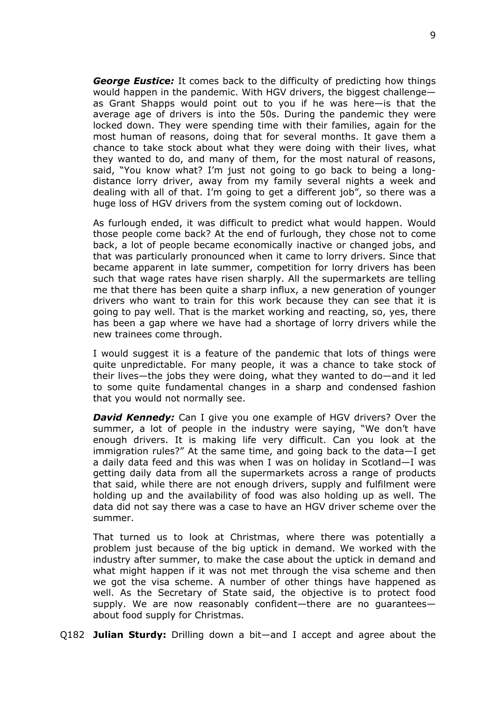*George Eustice:* It comes back to the difficulty of predicting how things would happen in the pandemic. With HGV drivers, the biggest challenge as Grant Shapps would point out to you if he was here—is that the average age of drivers is into the 50s. During the pandemic they were locked down. They were spending time with their families, again for the most human of reasons, doing that for several months. It gave them a chance to take stock about what they were doing with their lives, what they wanted to do, and many of them, for the most natural of reasons, said, "You know what? I'm just not going to go back to being a longdistance lorry driver, away from my family several nights a week and dealing with all of that. I'm going to get a different job", so there was a huge loss of HGV drivers from the system coming out of lockdown.

As furlough ended, it was difficult to predict what would happen. Would those people come back? At the end of furlough, they chose not to come back, a lot of people became economically inactive or changed jobs, and that was particularly pronounced when it came to lorry drivers. Since that became apparent in late summer, competition for lorry drivers has been such that wage rates have risen sharply. All the supermarkets are telling me that there has been quite a sharp influx, a new generation of younger drivers who want to train for this work because they can see that it is going to pay well. That is the market working and reacting, so, yes, there has been a gap where we have had a shortage of lorry drivers while the new trainees come through.

I would suggest it is a feature of the pandemic that lots of things were quite unpredictable. For many people, it was a chance to take stock of their lives—the jobs they were doing, what they wanted to do—and it led to some quite fundamental changes in a sharp and condensed fashion that you would not normally see.

*David Kennedy:* Can I give you one example of HGV drivers? Over the summer, a lot of people in the industry were saying, "We don't have enough drivers. It is making life very difficult. Can you look at the immigration rules?" At the same time, and going back to the data—I get a daily data feed and this was when I was on holiday in Scotland—I was getting daily data from all the supermarkets across a range of products that said, while there are not enough drivers, supply and fulfilment were holding up and the availability of food was also holding up as well. The data did not say there was a case to have an HGV driver scheme over the summer.

That turned us to look at Christmas, where there was potentially a problem just because of the big uptick in demand. We worked with the industry after summer, to make the case about the uptick in demand and what might happen if it was not met through the visa scheme and then we got the visa scheme. A number of other things have happened as well. As the Secretary of State said, the objective is to protect food supply. We are now reasonably confident—there are no guarantees about food supply for Christmas.

Q182 **Julian Sturdy:** Drilling down a bit—and I accept and agree about the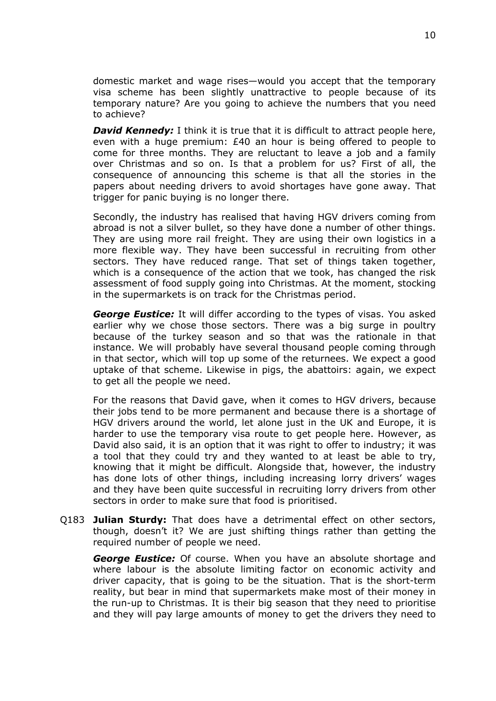domestic market and wage rises—would you accept that the temporary visa scheme has been slightly unattractive to people because of its temporary nature? Are you going to achieve the numbers that you need to achieve?

*David Kennedy:* I think it is true that it is difficult to attract people here, even with a huge premium: £40 an hour is being offered to people to come for three months. They are reluctant to leave a job and a family over Christmas and so on. Is that a problem for us? First of all, the consequence of announcing this scheme is that all the stories in the papers about needing drivers to avoid shortages have gone away. That trigger for panic buying is no longer there.

Secondly, the industry has realised that having HGV drivers coming from abroad is not a silver bullet, so they have done a number of other things. They are using more rail freight. They are using their own logistics in a more flexible way. They have been successful in recruiting from other sectors. They have reduced range. That set of things taken together, which is a consequence of the action that we took, has changed the risk assessment of food supply going into Christmas. At the moment, stocking in the supermarkets is on track for the Christmas period.

*George Eustice:* It will differ according to the types of visas. You asked earlier why we chose those sectors. There was a big surge in poultry because of the turkey season and so that was the rationale in that instance. We will probably have several thousand people coming through in that sector, which will top up some of the returnees. We expect a good uptake of that scheme. Likewise in pigs, the abattoirs: again, we expect to get all the people we need.

For the reasons that David gave, when it comes to HGV drivers, because their jobs tend to be more permanent and because there is a shortage of HGV drivers around the world, let alone just in the UK and Europe, it is harder to use the temporary visa route to get people here. However, as David also said, it is an option that it was right to offer to industry; it was a tool that they could try and they wanted to at least be able to try, knowing that it might be difficult. Alongside that, however, the industry has done lots of other things, including increasing lorry drivers' wages and they have been quite successful in recruiting lorry drivers from other sectors in order to make sure that food is prioritised.

Q183 **Julian Sturdy:** That does have a detrimental effect on other sectors, though, doesn't it? We are just shifting things rather than getting the required number of people we need.

*George Eustice:* Of course. When you have an absolute shortage and where labour is the absolute limiting factor on economic activity and driver capacity, that is going to be the situation. That is the short-term reality, but bear in mind that supermarkets make most of their money in the run-up to Christmas. It is their big season that they need to prioritise and they will pay large amounts of money to get the drivers they need to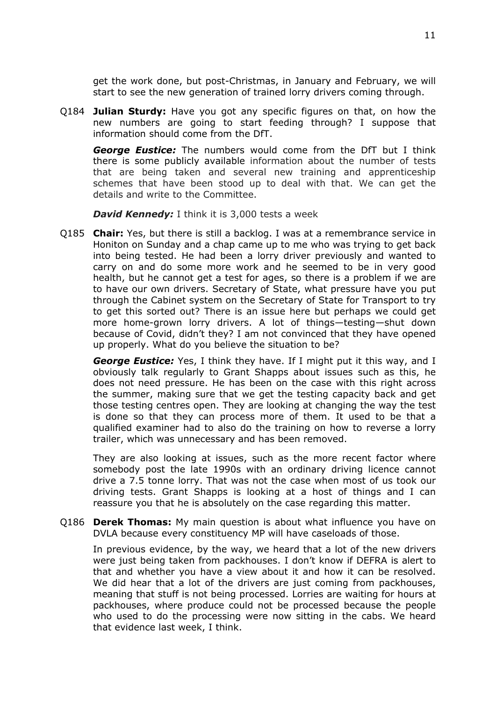get the work done, but post-Christmas, in January and February, we will start to see the new generation of trained lorry drivers coming through.

Q184 **Julian Sturdy:** Have you got any specific figures on that, on how the new numbers are going to start feeding through? I suppose that information should come from the DfT.

*George Eustice:* The numbers would come from the DfT but I think there is some publicly available information about the number of tests that are being taken and several new training and apprenticeship schemes that have been stood up to deal with that. We can get the details and write to the Committee.

*David Kennedy:* I think it is 3,000 tests a week

Q185 **Chair:** Yes, but there is still a backlog. I was at a remembrance service in Honiton on Sunday and a chap came up to me who was trying to get back into being tested. He had been a lorry driver previously and wanted to carry on and do some more work and he seemed to be in very good health, but he cannot get a test for ages, so there is a problem if we are to have our own drivers. Secretary of State, what pressure have you put through the Cabinet system on the Secretary of State for Transport to try to get this sorted out? There is an issue here but perhaps we could get more home-grown lorry drivers. A lot of things—testing—shut down because of Covid, didn't they? I am not convinced that they have opened up properly. What do you believe the situation to be?

*George Eustice:* Yes, I think they have. If I might put it this way, and I obviously talk regularly to Grant Shapps about issues such as this, he does not need pressure. He has been on the case with this right across the summer, making sure that we get the testing capacity back and get those testing centres open. They are looking at changing the way the test is done so that they can process more of them. It used to be that a qualified examiner had to also do the training on how to reverse a lorry trailer, which was unnecessary and has been removed.

They are also looking at issues, such as the more recent factor where somebody post the late 1990s with an ordinary driving licence cannot drive a 7.5 tonne lorry. That was not the case when most of us took our driving tests. Grant Shapps is looking at a host of things and I can reassure you that he is absolutely on the case regarding this matter.

Q186 **Derek Thomas:** My main question is about what influence you have on DVLA because every constituency MP will have caseloads of those.

In previous evidence, by the way, we heard that a lot of the new drivers were just being taken from packhouses. I don't know if DEFRA is alert to that and whether you have a view about it and how it can be resolved. We did hear that a lot of the drivers are just coming from packhouses, meaning that stuff is not being processed. Lorries are waiting for hours at packhouses, where produce could not be processed because the people who used to do the processing were now sitting in the cabs. We heard that evidence last week, I think.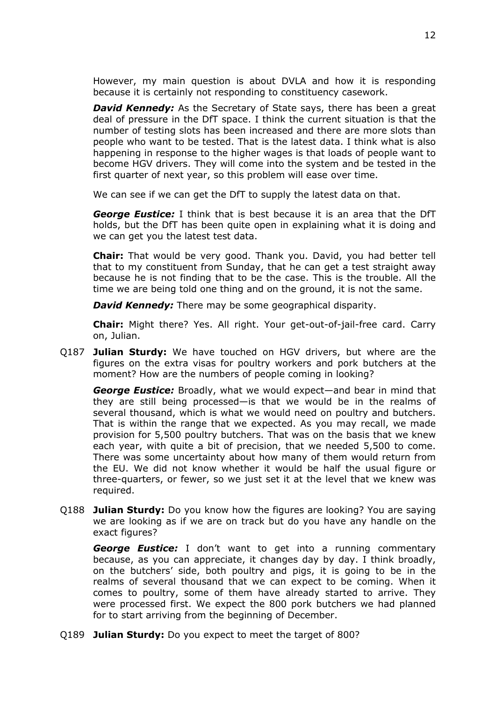However, my main question is about DVLA and how it is responding because it is certainly not responding to constituency casework.

*David Kennedy:* As the Secretary of State says, there has been a great deal of pressure in the DfT space. I think the current situation is that the number of testing slots has been increased and there are more slots than people who want to be tested. That is the latest data. I think what is also happening in response to the higher wages is that loads of people want to become HGV drivers. They will come into the system and be tested in the first quarter of next year, so this problem will ease over time.

We can see if we can get the DfT to supply the latest data on that.

*George Eustice:* I think that is best because it is an area that the DfT holds, but the DfT has been quite open in explaining what it is doing and we can get you the latest test data.

**Chair:** That would be very good. Thank you. David, you had better tell that to my constituent from Sunday, that he can get a test straight away because he is not finding that to be the case. This is the trouble. All the time we are being told one thing and on the ground, it is not the same.

*David Kennedy:* There may be some geographical disparity.

**Chair:** Might there? Yes. All right. Your get-out-of-jail-free card. Carry on, Julian.

Q187 **Julian Sturdy:** We have touched on HGV drivers, but where are the figures on the extra visas for poultry workers and pork butchers at the moment? How are the numbers of people coming in looking?

*George Eustice:* Broadly, what we would expect—and bear in mind that they are still being processed—is that we would be in the realms of several thousand, which is what we would need on poultry and butchers. That is within the range that we expected. As you may recall, we made provision for 5,500 poultry butchers. That was on the basis that we knew each year, with quite a bit of precision, that we needed 5,500 to come. There was some uncertainty about how many of them would return from the EU. We did not know whether it would be half the usual figure or three-quarters, or fewer, so we just set it at the level that we knew was required.

Q188 **Julian Sturdy:** Do you know how the figures are looking? You are saying we are looking as if we are on track but do you have any handle on the exact figures?

*George Eustice:* I don't want to get into a running commentary because, as you can appreciate, it changes day by day. I think broadly, on the butchers' side, both poultry and pigs, it is going to be in the realms of several thousand that we can expect to be coming. When it comes to poultry, some of them have already started to arrive. They were processed first. We expect the 800 pork butchers we had planned for to start arriving from the beginning of December.

Q189 **Julian Sturdy:** Do you expect to meet the target of 800?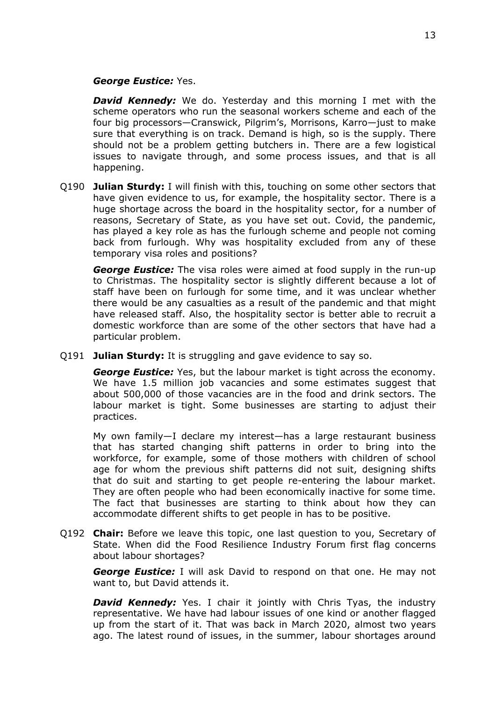#### *George Eustice:* Yes.

**David Kennedy:** We do. Yesterday and this morning I met with the scheme operators who run the seasonal workers scheme and each of the four big processors—Cranswick, Pilgrim's, Morrisons, Karro—just to make sure that everything is on track. Demand is high, so is the supply. There should not be a problem getting butchers in. There are a few logistical issues to navigate through, and some process issues, and that is all happening.

Q190 **Julian Sturdy:** I will finish with this, touching on some other sectors that have given evidence to us, for example, the hospitality sector. There is a huge shortage across the board in the hospitality sector, for a number of reasons, Secretary of State, as you have set out. Covid, the pandemic, has played a key role as has the furlough scheme and people not coming back from furlough. Why was hospitality excluded from any of these temporary visa roles and positions?

*George Eustice:* The visa roles were aimed at food supply in the run-up to Christmas. The hospitality sector is slightly different because a lot of staff have been on furlough for some time, and it was unclear whether there would be any casualties as a result of the pandemic and that might have released staff. Also, the hospitality sector is better able to recruit a domestic workforce than are some of the other sectors that have had a particular problem.

Q191 **Julian Sturdy:** It is struggling and gave evidence to say so.

*George Eustice:* Yes, but the labour market is tight across the economy. We have 1.5 million job vacancies and some estimates suggest that about 500,000 of those vacancies are in the food and drink sectors. The labour market is tight. Some businesses are starting to adjust their practices.

My own family—I declare my interest—has a large restaurant business that has started changing shift patterns in order to bring into the workforce, for example, some of those mothers with children of school age for whom the previous shift patterns did not suit, designing shifts that do suit and starting to get people re-entering the labour market. They are often people who had been economically inactive for some time. The fact that businesses are starting to think about how they can accommodate different shifts to get people in has to be positive.

Q192 **Chair:** Before we leave this topic, one last question to you, Secretary of State. When did the Food Resilience Industry Forum first flag concerns about labour shortages?

*George Eustice:* I will ask David to respond on that one. He may not want to, but David attends it.

**David Kennedy:** Yes. I chair it jointly with Chris Tyas, the industry representative. We have had labour issues of one kind or another flagged up from the start of it. That was back in March 2020, almost two years ago. The latest round of issues, in the summer, labour shortages around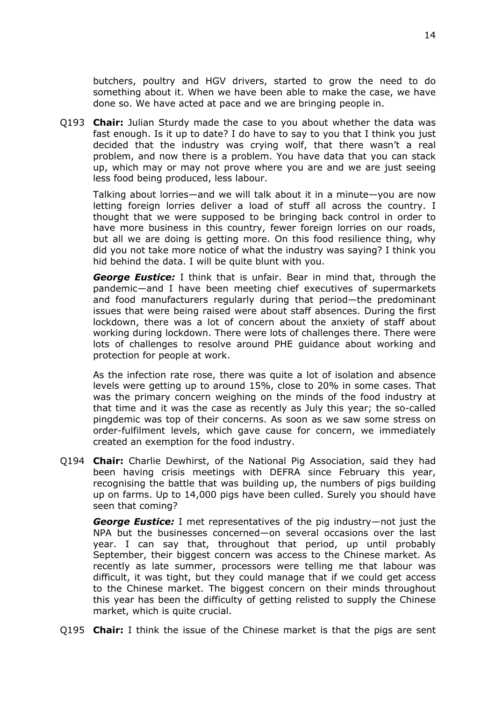butchers, poultry and HGV drivers, started to grow the need to do something about it. When we have been able to make the case, we have done so. We have acted at pace and we are bringing people in.

Q193 **Chair:** Julian Sturdy made the case to you about whether the data was fast enough. Is it up to date? I do have to say to you that I think you just decided that the industry was crying wolf, that there wasn't a real problem, and now there is a problem. You have data that you can stack up, which may or may not prove where you are and we are just seeing less food being produced, less labour.

Talking about lorries—and we will talk about it in a minute—you are now letting foreign lorries deliver a load of stuff all across the country. I thought that we were supposed to be bringing back control in order to have more business in this country, fewer foreign lorries on our roads, but all we are doing is getting more. On this food resilience thing, why did you not take more notice of what the industry was saying? I think you hid behind the data. I will be quite blunt with you.

*George Eustice:* I think that is unfair. Bear in mind that, through the pandemic—and I have been meeting chief executives of supermarkets and food manufacturers regularly during that period—the predominant issues that were being raised were about staff absences. During the first lockdown, there was a lot of concern about the anxiety of staff about working during lockdown. There were lots of challenges there. There were lots of challenges to resolve around PHE guidance about working and protection for people at work.

As the infection rate rose, there was quite a lot of isolation and absence levels were getting up to around 15%, close to 20% in some cases. That was the primary concern weighing on the minds of the food industry at that time and it was the case as recently as July this year; the so-called pingdemic was top of their concerns. As soon as we saw some stress on order-fulfilment levels, which gave cause for concern, we immediately created an exemption for the food industry.

Q194 **Chair:** Charlie Dewhirst, of the National Pig Association, said they had been having crisis meetings with DEFRA since February this year, recognising the battle that was building up, the numbers of pigs building up on farms. Up to 14,000 pigs have been culled. Surely you should have seen that coming?

*George Eustice:* I met representatives of the pig industry—not just the NPA but the businesses concerned—on several occasions over the last year. I can say that, throughout that period, up until probably September, their biggest concern was access to the Chinese market. As recently as late summer, processors were telling me that labour was difficult, it was tight, but they could manage that if we could get access to the Chinese market. The biggest concern on their minds throughout this year has been the difficulty of getting relisted to supply the Chinese market, which is quite crucial.

Q195 **Chair:** I think the issue of the Chinese market is that the pigs are sent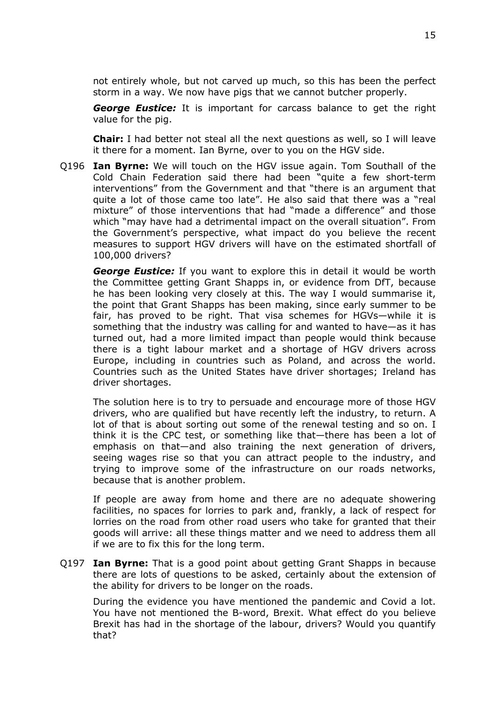not entirely whole, but not carved up much, so this has been the perfect storm in a way. We now have pigs that we cannot butcher properly.

*George Eustice:* It is important for carcass balance to get the right value for the pig.

**Chair:** I had better not steal all the next questions as well, so I will leave it there for a moment. Ian Byrne, over to you on the HGV side.

Q196 **Ian Byrne:** We will touch on the HGV issue again. Tom Southall of the Cold Chain Federation said there had been "quite a few short-term interventions" from the Government and that "there is an argument that quite a lot of those came too late". He also said that there was a "real mixture" of those interventions that had "made a difference" and those which "may have had a detrimental impact on the overall situation". From the Government's perspective, what impact do you believe the recent measures to support HGV drivers will have on the estimated shortfall of 100,000 drivers?

*George Eustice:* If you want to explore this in detail it would be worth the Committee getting Grant Shapps in, or evidence from DfT, because he has been looking very closely at this. The way I would summarise it, the point that Grant Shapps has been making, since early summer to be fair, has proved to be right. That visa schemes for HGVs—while it is something that the industry was calling for and wanted to have—as it has turned out, had a more limited impact than people would think because there is a tight labour market and a shortage of HGV drivers across Europe, including in countries such as Poland, and across the world. Countries such as the United States have driver shortages; Ireland has driver shortages.

The solution here is to try to persuade and encourage more of those HGV drivers, who are qualified but have recently left the industry, to return. A lot of that is about sorting out some of the renewal testing and so on. I think it is the CPC test, or something like that—there has been a lot of emphasis on that—and also training the next generation of drivers, seeing wages rise so that you can attract people to the industry, and trying to improve some of the infrastructure on our roads networks, because that is another problem.

If people are away from home and there are no adequate showering facilities, no spaces for lorries to park and, frankly, a lack of respect for lorries on the road from other road users who take for granted that their goods will arrive: all these things matter and we need to address them all if we are to fix this for the long term.

Q197 **Ian Byrne:** That is a good point about getting Grant Shapps in because there are lots of questions to be asked, certainly about the extension of the ability for drivers to be longer on the roads.

During the evidence you have mentioned the pandemic and Covid a lot. You have not mentioned the B-word, Brexit. What effect do you believe Brexit has had in the shortage of the labour, drivers? Would you quantify that?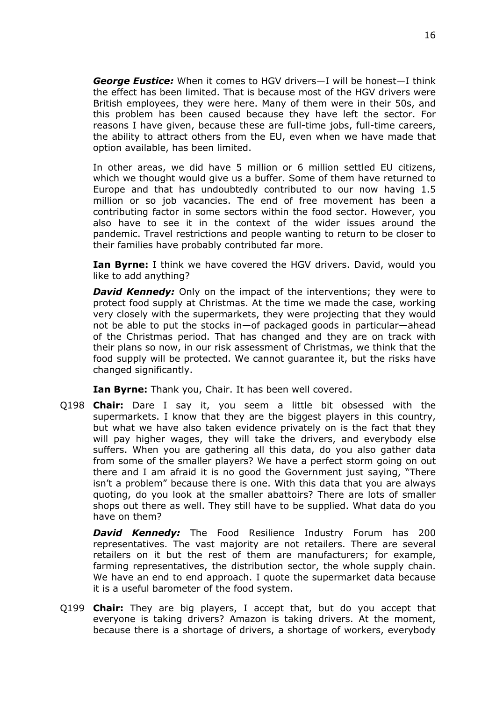*George Eustice:* When it comes to HGV drivers—I will be honest—I think the effect has been limited. That is because most of the HGV drivers were British employees, they were here. Many of them were in their 50s, and this problem has been caused because they have left the sector. For reasons I have given, because these are full-time jobs, full-time careers, the ability to attract others from the EU, even when we have made that option available, has been limited.

In other areas, we did have 5 million or 6 million settled EU citizens, which we thought would give us a buffer. Some of them have returned to Europe and that has undoubtedly contributed to our now having 1.5 million or so job vacancies. The end of free movement has been a contributing factor in some sectors within the food sector. However, you also have to see it in the context of the wider issues around the pandemic. Travel restrictions and people wanting to return to be closer to their families have probably contributed far more.

**Ian Byrne:** I think we have covered the HGV drivers. David, would you like to add anything?

*David Kennedy:* Only on the impact of the interventions; they were to protect food supply at Christmas. At the time we made the case, working very closely with the supermarkets, they were projecting that they would not be able to put the stocks in—of packaged goods in particular—ahead of the Christmas period. That has changed and they are on track with their plans so now, in our risk assessment of Christmas, we think that the food supply will be protected. We cannot guarantee it, but the risks have changed significantly.

**Ian Byrne:** Thank you, Chair. It has been well covered.

Q198 **Chair:** Dare I say it, you seem a little bit obsessed with the supermarkets. I know that they are the biggest players in this country, but what we have also taken evidence privately on is the fact that they will pay higher wages, they will take the drivers, and everybody else suffers. When you are gathering all this data, do you also gather data from some of the smaller players? We have a perfect storm going on out there and I am afraid it is no good the Government just saying, "There isn't a problem" because there is one. With this data that you are always quoting, do you look at the smaller abattoirs? There are lots of smaller shops out there as well. They still have to be supplied. What data do you have on them?

*David Kennedy:* The Food Resilience Industry Forum has 200 representatives. The vast majority are not retailers. There are several retailers on it but the rest of them are manufacturers; for example, farming representatives, the distribution sector, the whole supply chain. We have an end to end approach. I quote the supermarket data because it is a useful barometer of the food system.

Q199 **Chair:** They are big players, I accept that, but do you accept that everyone is taking drivers? Amazon is taking drivers. At the moment, because there is a shortage of drivers, a shortage of workers, everybody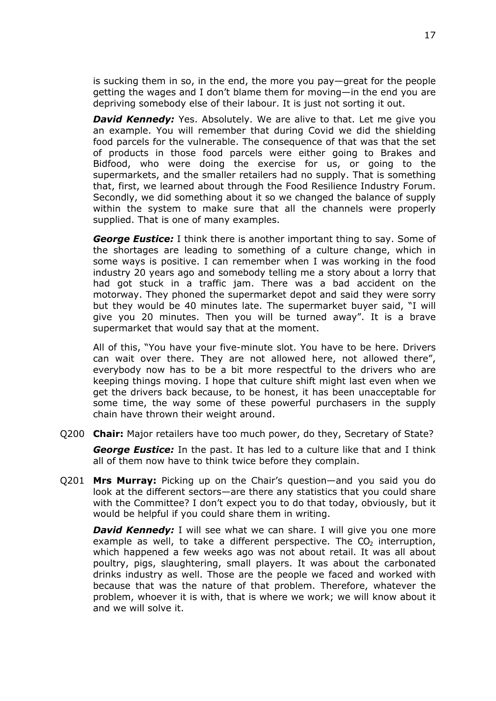is sucking them in so, in the end, the more you pay—great for the people getting the wages and I don't blame them for moving—in the end you are depriving somebody else of their labour. It is just not sorting it out.

*David Kennedy:* Yes. Absolutely. We are alive to that. Let me give you an example. You will remember that during Covid we did the shielding food parcels for the vulnerable. The consequence of that was that the set of products in those food parcels were either going to Brakes and Bidfood, who were doing the exercise for us, or going to the supermarkets, and the smaller retailers had no supply. That is something that, first, we learned about through the Food Resilience Industry Forum. Secondly, we did something about it so we changed the balance of supply within the system to make sure that all the channels were properly supplied. That is one of many examples.

*George Eustice:* I think there is another important thing to say. Some of the shortages are leading to something of a culture change, which in some ways is positive. I can remember when I was working in the food industry 20 years ago and somebody telling me a story about a lorry that had got stuck in a traffic jam. There was a bad accident on the motorway. They phoned the supermarket depot and said they were sorry but they would be 40 minutes late. The supermarket buyer said, "I will give you 20 minutes. Then you will be turned away". It is a brave supermarket that would say that at the moment.

All of this, "You have your five-minute slot. You have to be here. Drivers can wait over there. They are not allowed here, not allowed there", everybody now has to be a bit more respectful to the drivers who are keeping things moving. I hope that culture shift might last even when we get the drivers back because, to be honest, it has been unacceptable for some time, the way some of these powerful purchasers in the supply chain have thrown their weight around.

Q200 **Chair:** Major retailers have too much power, do they, Secretary of State?

*George Eustice:* In the past. It has led to a culture like that and I think all of them now have to think twice before they complain.

Q201 **Mrs Murray:** Picking up on the Chair's question—and you said you do look at the different sectors—are there any statistics that you could share with the Committee? I don't expect you to do that today, obviously, but it would be helpful if you could share them in writing.

*David Kennedy:* I will see what we can share. I will give you one more example as well, to take a different perspective. The  $CO<sub>2</sub>$  interruption, which happened a few weeks ago was not about retail. It was all about poultry, pigs, slaughtering, small players. It was about the carbonated drinks industry as well. Those are the people we faced and worked with because that was the nature of that problem. Therefore, whatever the problem, whoever it is with, that is where we work; we will know about it and we will solve it.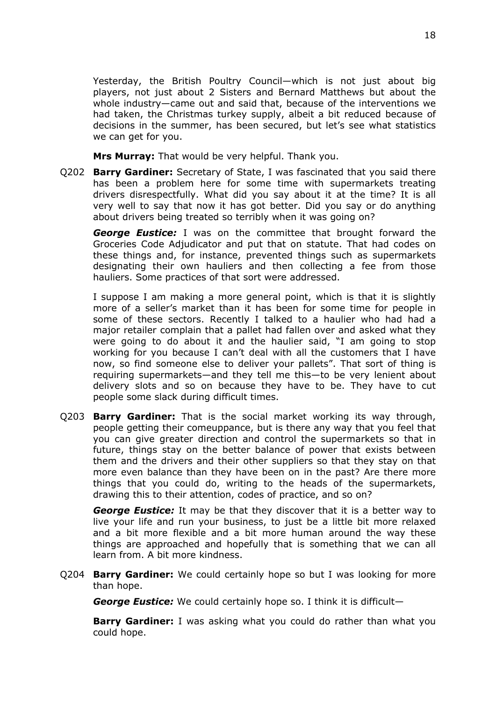Yesterday, the British Poultry Council—which is not just about big players, not just about 2 Sisters and Bernard Matthews but about the whole industry—came out and said that, because of the interventions we had taken, the Christmas turkey supply, albeit a bit reduced because of decisions in the summer, has been secured, but let's see what statistics we can get for you.

**Mrs Murray:** That would be very helpful. Thank you.

Q202 **Barry Gardiner:** Secretary of State, I was fascinated that you said there has been a problem here for some time with supermarkets treating drivers disrespectfully. What did you say about it at the time? It is all very well to say that now it has got better. Did you say or do anything about drivers being treated so terribly when it was going on?

*George Eustice:* I was on the committee that brought forward the Groceries Code Adjudicator and put that on statute. That had codes on these things and, for instance, prevented things such as supermarkets designating their own hauliers and then collecting a fee from those hauliers. Some practices of that sort were addressed.

I suppose I am making a more general point, which is that it is slightly more of a seller's market than it has been for some time for people in some of these sectors. Recently I talked to a haulier who had had a major retailer complain that a pallet had fallen over and asked what they were going to do about it and the haulier said, "I am going to stop working for you because I can't deal with all the customers that I have now, so find someone else to deliver your pallets". That sort of thing is requiring supermarkets—and they tell me this—to be very lenient about delivery slots and so on because they have to be. They have to cut people some slack during difficult times.

Q203 **Barry Gardiner:** That is the social market working its way through, people getting their comeuppance, but is there any way that you feel that you can give greater direction and control the supermarkets so that in future, things stay on the better balance of power that exists between them and the drivers and their other suppliers so that they stay on that more even balance than they have been on in the past? Are there more things that you could do, writing to the heads of the supermarkets, drawing this to their attention, codes of practice, and so on?

*George Eustice:* It may be that they discover that it is a better way to live your life and run your business, to just be a little bit more relaxed and a bit more flexible and a bit more human around the way these things are approached and hopefully that is something that we can all learn from. A bit more kindness.

Q204 **Barry Gardiner:** We could certainly hope so but I was looking for more than hope.

*George Eustice:* We could certainly hope so. I think it is difficult—

**Barry Gardiner:** I was asking what you could do rather than what you could hope.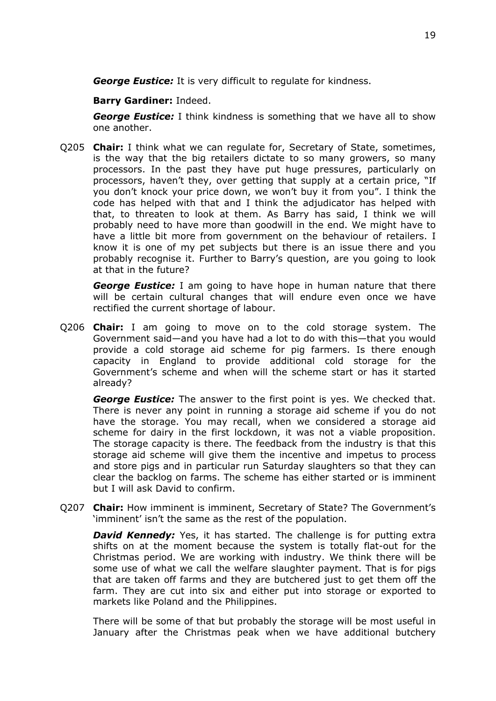*George Eustice:* It is very difficult to regulate for kindness.

# **Barry Gardiner:** Indeed.

*George Eustice:* I think kindness is something that we have all to show one another.

Q205 **Chair:** I think what we can regulate for, Secretary of State, sometimes, is the way that the big retailers dictate to so many growers, so many processors. In the past they have put huge pressures, particularly on processors, haven't they, over getting that supply at a certain price, "If you don't knock your price down, we won't buy it from you". I think the code has helped with that and I think the adjudicator has helped with that, to threaten to look at them. As Barry has said, I think we will probably need to have more than goodwill in the end. We might have to have a little bit more from government on the behaviour of retailers. I know it is one of my pet subjects but there is an issue there and you probably recognise it. Further to Barry's question, are you going to look at that in the future?

*George Eustice:* I am going to have hope in human nature that there will be certain cultural changes that will endure even once we have rectified the current shortage of labour.

Q206 **Chair:** I am going to move on to the cold storage system. The Government said—and you have had a lot to do with this—that you would provide a cold storage aid scheme for pig farmers. Is there enough capacity in England to provide additional cold storage for the Government's scheme and when will the scheme start or has it started already?

*George Eustice:* The answer to the first point is yes. We checked that. There is never any point in running a storage aid scheme if you do not have the storage. You may recall, when we considered a storage aid scheme for dairy in the first lockdown, it was not a viable proposition. The storage capacity is there. The feedback from the industry is that this storage aid scheme will give them the incentive and impetus to process and store pigs and in particular run Saturday slaughters so that they can clear the backlog on farms. The scheme has either started or is imminent but I will ask David to confirm.

Q207 **Chair:** How imminent is imminent, Secretary of State? The Government's 'imminent' isn't the same as the rest of the population.

*David Kennedy:* Yes, it has started. The challenge is for putting extra shifts on at the moment because the system is totally flat-out for the Christmas period. We are working with industry. We think there will be some use of what we call the welfare slaughter payment. That is for pigs that are taken off farms and they are butchered just to get them off the farm. They are cut into six and either put into storage or exported to markets like Poland and the Philippines.

There will be some of that but probably the storage will be most useful in January after the Christmas peak when we have additional butchery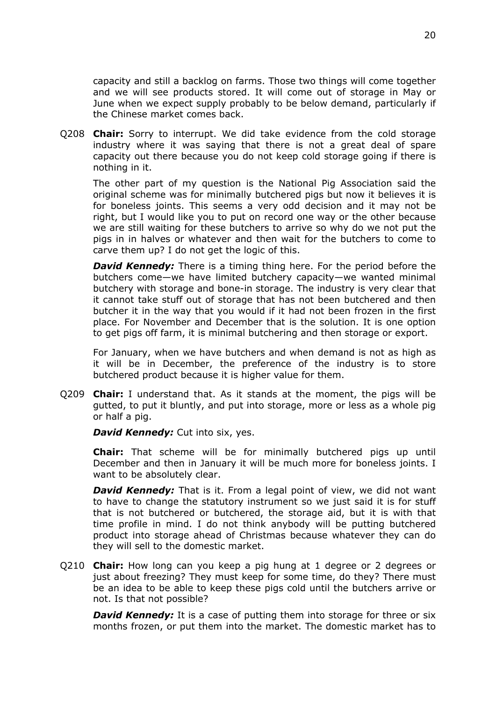capacity and still a backlog on farms. Those two things will come together and we will see products stored. It will come out of storage in May or June when we expect supply probably to be below demand, particularly if the Chinese market comes back.

Q208 **Chair:** Sorry to interrupt. We did take evidence from the cold storage industry where it was saying that there is not a great deal of spare capacity out there because you do not keep cold storage going if there is nothing in it.

The other part of my question is the National Pig Association said the original scheme was for minimally butchered pigs but now it believes it is for boneless joints. This seems a very odd decision and it may not be right, but I would like you to put on record one way or the other because we are still waiting for these butchers to arrive so why do we not put the pigs in in halves or whatever and then wait for the butchers to come to carve them up? I do not get the logic of this.

*David Kennedy:* There is a timing thing here. For the period before the butchers come—we have limited butchery capacity—we wanted minimal butchery with storage and bone-in storage. The industry is very clear that it cannot take stuff out of storage that has not been butchered and then butcher it in the way that you would if it had not been frozen in the first place. For November and December that is the solution. It is one option to get pigs off farm, it is minimal butchering and then storage or export.

For January, when we have butchers and when demand is not as high as it will be in December, the preference of the industry is to store butchered product because it is higher value for them.

Q209 **Chair:** I understand that. As it stands at the moment, the pigs will be gutted, to put it bluntly, and put into storage, more or less as a whole pig or half a pig.

*David Kennedy: Cut into six, yes.* 

**Chair:** That scheme will be for minimally butchered pigs up until December and then in January it will be much more for boneless joints. I want to be absolutely clear.

*David Kennedy:* That is it. From a legal point of view, we did not want to have to change the statutory instrument so we just said it is for stuff that is not butchered or butchered, the storage aid, but it is with that time profile in mind. I do not think anybody will be putting butchered product into storage ahead of Christmas because whatever they can do they will sell to the domestic market.

Q210 **Chair:** How long can you keep a pig hung at 1 degree or 2 degrees or just about freezing? They must keep for some time, do they? There must be an idea to be able to keep these pigs cold until the butchers arrive or not. Is that not possible?

*David Kennedy:* It is a case of putting them into storage for three or six months frozen, or put them into the market. The domestic market has to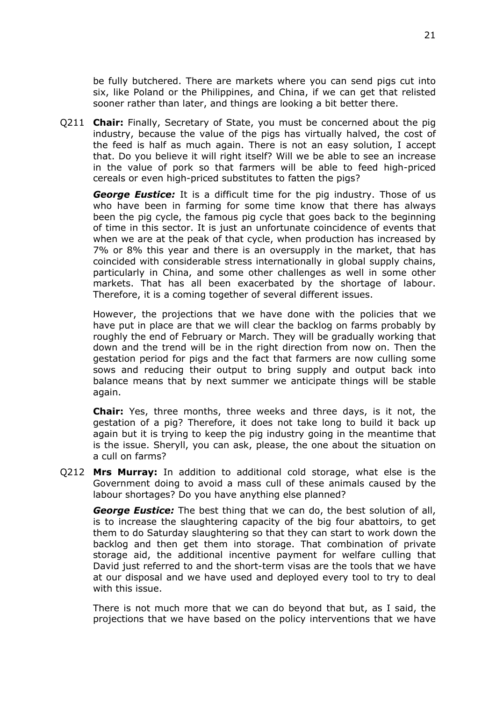be fully butchered. There are markets where you can send pigs cut into six, like Poland or the Philippines, and China, if we can get that relisted sooner rather than later, and things are looking a bit better there.

Q211 **Chair:** Finally, Secretary of State, you must be concerned about the pig industry, because the value of the pigs has virtually halved, the cost of the feed is half as much again. There is not an easy solution, I accept that. Do you believe it will right itself? Will we be able to see an increase in the value of pork so that farmers will be able to feed high-priced cereals or even high-priced substitutes to fatten the pigs?

*George Eustice:* It is a difficult time for the pig industry. Those of us who have been in farming for some time know that there has always been the pig cycle, the famous pig cycle that goes back to the beginning of time in this sector. It is just an unfortunate coincidence of events that when we are at the peak of that cycle, when production has increased by 7% or 8% this year and there is an oversupply in the market, that has coincided with considerable stress internationally in global supply chains, particularly in China, and some other challenges as well in some other markets. That has all been exacerbated by the shortage of labour. Therefore, it is a coming together of several different issues.

However, the projections that we have done with the policies that we have put in place are that we will clear the backlog on farms probably by roughly the end of February or March. They will be gradually working that down and the trend will be in the right direction from now on. Then the gestation period for pigs and the fact that farmers are now culling some sows and reducing their output to bring supply and output back into balance means that by next summer we anticipate things will be stable again.

**Chair:** Yes, three months, three weeks and three days, is it not, the gestation of a pig? Therefore, it does not take long to build it back up again but it is trying to keep the pig industry going in the meantime that is the issue. Sheryll, you can ask, please, the one about the situation on a cull on farms?

Q212 **Mrs Murray:** In addition to additional cold storage, what else is the Government doing to avoid a mass cull of these animals caused by the labour shortages? Do you have anything else planned?

*George Eustice:* The best thing that we can do, the best solution of all, is to increase the slaughtering capacity of the big four abattoirs, to get them to do Saturday slaughtering so that they can start to work down the backlog and then get them into storage. That combination of private storage aid, the additional incentive payment for welfare culling that David just referred to and the short-term visas are the tools that we have at our disposal and we have used and deployed every tool to try to deal with this issue.

There is not much more that we can do beyond that but, as I said, the projections that we have based on the policy interventions that we have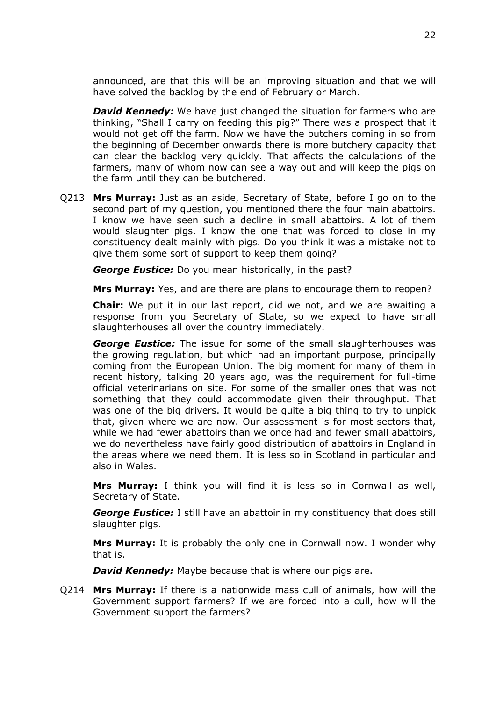announced, are that this will be an improving situation and that we will have solved the backlog by the end of February or March.

*David Kennedy:* We have just changed the situation for farmers who are thinking, "Shall I carry on feeding this pig?" There was a prospect that it would not get off the farm. Now we have the butchers coming in so from the beginning of December onwards there is more butchery capacity that can clear the backlog very quickly. That affects the calculations of the farmers, many of whom now can see a way out and will keep the pigs on the farm until they can be butchered.

Q213 **Mrs Murray:** Just as an aside, Secretary of State, before I go on to the second part of my question, you mentioned there the four main abattoirs. I know we have seen such a decline in small abattoirs. A lot of them would slaughter pigs. I know the one that was forced to close in my constituency dealt mainly with pigs. Do you think it was a mistake not to give them some sort of support to keep them going?

*George Eustice:* Do you mean historically, in the past?

**Mrs Murray:** Yes, and are there are plans to encourage them to reopen?

**Chair:** We put it in our last report, did we not, and we are awaiting a response from you Secretary of State, so we expect to have small slaughterhouses all over the country immediately.

*George Eustice:* The issue for some of the small slaughterhouses was the growing regulation, but which had an important purpose, principally coming from the European Union. The big moment for many of them in recent history, talking 20 years ago, was the requirement for full-time official veterinarians on site. For some of the smaller ones that was not something that they could accommodate given their throughput. That was one of the big drivers. It would be quite a big thing to try to unpick that, given where we are now. Our assessment is for most sectors that, while we had fewer abattoirs than we once had and fewer small abattoirs, we do nevertheless have fairly good distribution of abattoirs in England in the areas where we need them. It is less so in Scotland in particular and also in Wales.

**Mrs Murray:** I think you will find it is less so in Cornwall as well, Secretary of State.

*George Eustice:* I still have an abattoir in my constituency that does still slaughter pigs.

**Mrs Murray:** It is probably the only one in Cornwall now. I wonder why that is.

*David Kennedy:* Maybe because that is where our pigs are.

Q214 **Mrs Murray:** If there is a nationwide mass cull of animals, how will the Government support farmers? If we are forced into a cull, how will the Government support the farmers?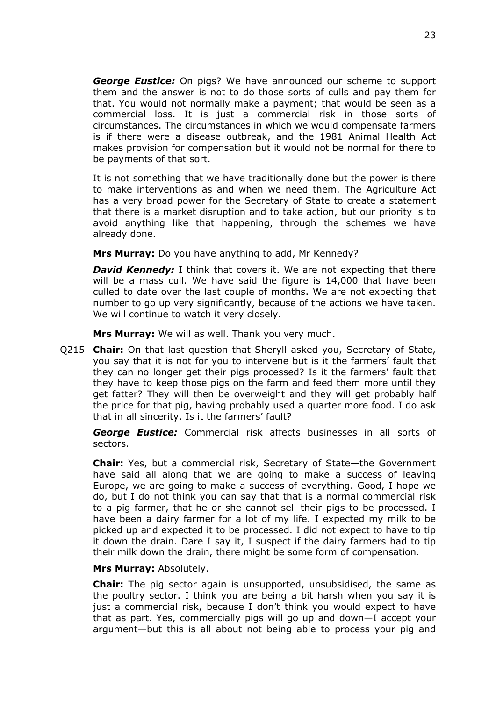*George Eustice:* On pigs? We have announced our scheme to support them and the answer is not to do those sorts of culls and pay them for that. You would not normally make a payment; that would be seen as a commercial loss. It is just a commercial risk in those sorts of circumstances. The circumstances in which we would compensate farmers is if there were a disease outbreak, and the 1981 Animal Health Act makes provision for compensation but it would not be normal for there to be payments of that sort.

It is not something that we have traditionally done but the power is there to make interventions as and when we need them. The Agriculture Act has a very broad power for the Secretary of State to create a statement that there is a market disruption and to take action, but our priority is to avoid anything like that happening, through the schemes we have already done.

**Mrs Murray:** Do you have anything to add, Mr Kennedy?

*David Kennedy:* I think that covers it. We are not expecting that there will be a mass cull. We have said the figure is 14,000 that have been culled to date over the last couple of months. We are not expecting that number to go up very significantly, because of the actions we have taken. We will continue to watch it very closely.

**Mrs Murray:** We will as well. Thank you very much.

Q215 **Chair:** On that last question that Sheryll asked you, Secretary of State, you say that it is not for you to intervene but is it the farmers' fault that they can no longer get their pigs processed? Is it the farmers' fault that they have to keep those pigs on the farm and feed them more until they get fatter? They will then be overweight and they will get probably half the price for that pig, having probably used a quarter more food. I do ask that in all sincerity. Is it the farmers' fault?

*George Eustice:* Commercial risk affects businesses in all sorts of sectors.

**Chair:** Yes, but a commercial risk, Secretary of State—the Government have said all along that we are going to make a success of leaving Europe, we are going to make a success of everything. Good, I hope we do, but I do not think you can say that that is a normal commercial risk to a pig farmer, that he or she cannot sell their pigs to be processed. I have been a dairy farmer for a lot of my life. I expected my milk to be picked up and expected it to be processed. I did not expect to have to tip it down the drain. Dare I say it, I suspect if the dairy farmers had to tip their milk down the drain, there might be some form of compensation.

#### **Mrs Murray:** Absolutely.

**Chair:** The pig sector again is unsupported, unsubsidised, the same as the poultry sector. I think you are being a bit harsh when you say it is just a commercial risk, because I don't think you would expect to have that as part. Yes, commercially pigs will go up and down—I accept your argument—but this is all about not being able to process your pig and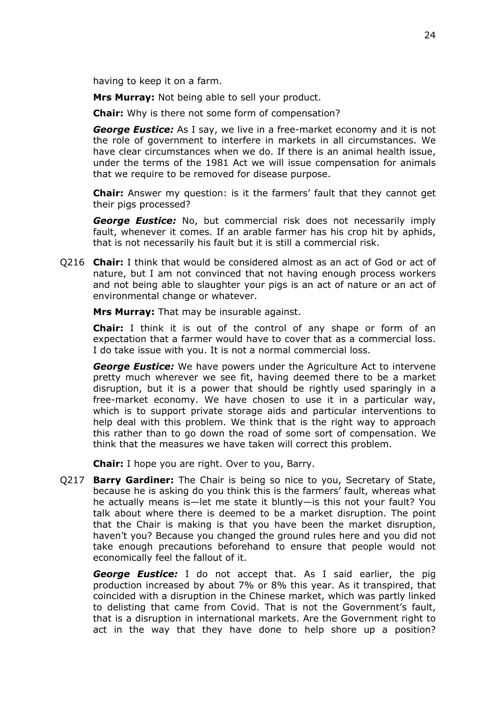having to keep it on a farm.

**Mrs Murray:** Not being able to sell your product.

**Chair:** Why is there not some form of compensation?

*George Eustice:* As I say, we live in a free-market economy and it is not the role of government to interfere in markets in all circumstances. We have clear circumstances when we do. If there is an animal health issue, under the terms of the 1981 Act we will issue compensation for animals that we require to be removed for disease purpose.

**Chair:** Answer my question: is it the farmers' fault that they cannot get their pigs processed?

*George Eustice:* No, but commercial risk does not necessarily imply fault, whenever it comes. If an arable farmer has his crop hit by aphids, that is not necessarily his fault but it is still a commercial risk.

Q216 **Chair:** I think that would be considered almost as an act of God or act of nature, but I am not convinced that not having enough process workers and not being able to slaughter your pigs is an act of nature or an act of environmental change or whatever.

**Mrs Murray:** That may be insurable against.

**Chair:** I think it is out of the control of any shape or form of an expectation that a farmer would have to cover that as a commercial loss. I do take issue with you. It is not a normal commercial loss.

*George Eustice:* We have powers under the Agriculture Act to intervene pretty much wherever we see fit, having deemed there to be a market disruption, but it is a power that should be rightly used sparingly in a free-market economy. We have chosen to use it in a particular way, which is to support private storage aids and particular interventions to help deal with this problem. We think that is the right way to approach this rather than to go down the road of some sort of compensation. We think that the measures we have taken will correct this problem.

**Chair:** I hope you are right. Over to you, Barry.

Q217 **Barry Gardiner:** The Chair is being so nice to you, Secretary of State, because he is asking do you think this is the farmers' fault, whereas what he actually means is—let me state it bluntly—is this not your fault? You talk about where there is deemed to be a market disruption. The point that the Chair is making is that you have been the market disruption, haven't you? Because you changed the ground rules here and you did not take enough precautions beforehand to ensure that people would not economically feel the fallout of it.

*George Eustice:* I do not accept that. As I said earlier, the pig production increased by about 7% or 8% this year. As it transpired, that coincided with a disruption in the Chinese market, which was partly linked to delisting that came from Covid. That is not the Government's fault, that is a disruption in international markets. Are the Government right to act in the way that they have done to help shore up a position?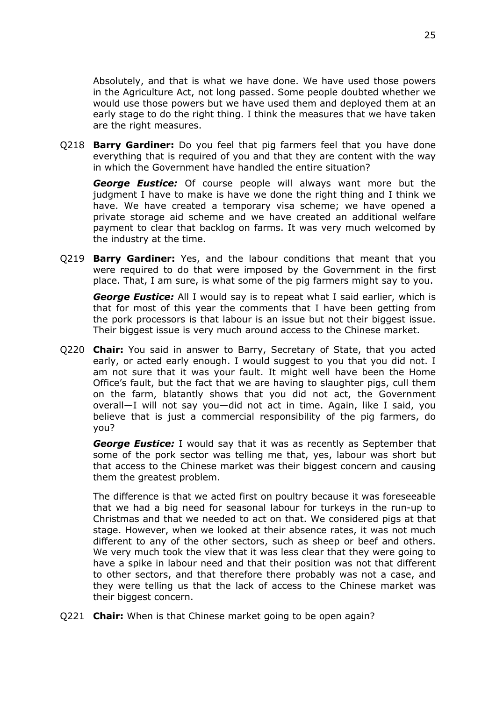Absolutely, and that is what we have done. We have used those powers in the Agriculture Act, not long passed. Some people doubted whether we would use those powers but we have used them and deployed them at an early stage to do the right thing. I think the measures that we have taken are the right measures.

Q218 **Barry Gardiner:** Do you feel that pig farmers feel that you have done everything that is required of you and that they are content with the way in which the Government have handled the entire situation?

*George Eustice:* Of course people will always want more but the judgment I have to make is have we done the right thing and I think we have. We have created a temporary visa scheme; we have opened a private storage aid scheme and we have created an additional welfare payment to clear that backlog on farms. It was very much welcomed by the industry at the time.

Q219 **Barry Gardiner:** Yes, and the labour conditions that meant that you were required to do that were imposed by the Government in the first place. That, I am sure, is what some of the pig farmers might say to you.

*George Eustice:* All I would say is to repeat what I said earlier, which is that for most of this year the comments that I have been getting from the pork processors is that labour is an issue but not their biggest issue. Their biggest issue is very much around access to the Chinese market.

Q220 **Chair:** You said in answer to Barry, Secretary of State, that you acted early, or acted early enough. I would suggest to you that you did not. I am not sure that it was your fault. It might well have been the Home Office's fault, but the fact that we are having to slaughter pigs, cull them on the farm, blatantly shows that you did not act, the Government overall—I will not say you—did not act in time. Again, like I said, you believe that is just a commercial responsibility of the pig farmers, do you?

*George Eustice:* I would say that it was as recently as September that some of the pork sector was telling me that, yes, labour was short but that access to the Chinese market was their biggest concern and causing them the greatest problem.

The difference is that we acted first on poultry because it was foreseeable that we had a big need for seasonal labour for turkeys in the run-up to Christmas and that we needed to act on that. We considered pigs at that stage. However, when we looked at their absence rates, it was not much different to any of the other sectors, such as sheep or beef and others. We very much took the view that it was less clear that they were going to have a spike in labour need and that their position was not that different to other sectors, and that therefore there probably was not a case, and they were telling us that the lack of access to the Chinese market was their biggest concern.

Q221 **Chair:** When is that Chinese market going to be open again?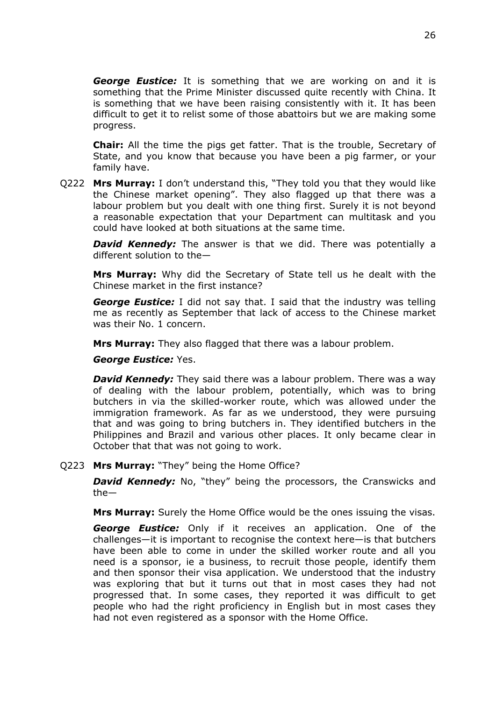*George Eustice:* It is something that we are working on and it is something that the Prime Minister discussed quite recently with China. It is something that we have been raising consistently with it. It has been difficult to get it to relist some of those abattoirs but we are making some progress.

**Chair:** All the time the pigs get fatter. That is the trouble, Secretary of State, and you know that because you have been a pig farmer, or your family have.

Q222 **Mrs Murray:** I don't understand this, "They told you that they would like the Chinese market opening". They also flagged up that there was a labour problem but you dealt with one thing first. Surely it is not beyond a reasonable expectation that your Department can multitask and you could have looked at both situations at the same time.

*David Kennedy:* The answer is that we did. There was potentially a different solution to the—

**Mrs Murray:** Why did the Secretary of State tell us he dealt with the Chinese market in the first instance?

*George Eustice:* I did not say that. I said that the industry was telling me as recently as September that lack of access to the Chinese market was their No. 1 concern.

**Mrs Murray:** They also flagged that there was a labour problem.

*George Eustice:* Yes.

*David Kennedy:* They said there was a labour problem. There was a way of dealing with the labour problem, potentially, which was to bring butchers in via the skilled-worker route, which was allowed under the immigration framework. As far as we understood, they were pursuing that and was going to bring butchers in. They identified butchers in the Philippines and Brazil and various other places. It only became clear in October that that was not going to work.

Q223 **Mrs Murray:** "They" being the Home Office?

*David Kennedy:* No, "they" being the processors, the Cranswicks and the—

**Mrs Murray:** Surely the Home Office would be the ones issuing the visas.

*George Eustice:* Only if it receives an application. One of the challenges—it is important to recognise the context here—is that butchers have been able to come in under the skilled worker route and all you need is a sponsor, ie a business, to recruit those people, identify them and then sponsor their visa application. We understood that the industry was exploring that but it turns out that in most cases they had not progressed that. In some cases, they reported it was difficult to get people who had the right proficiency in English but in most cases they had not even registered as a sponsor with the Home Office.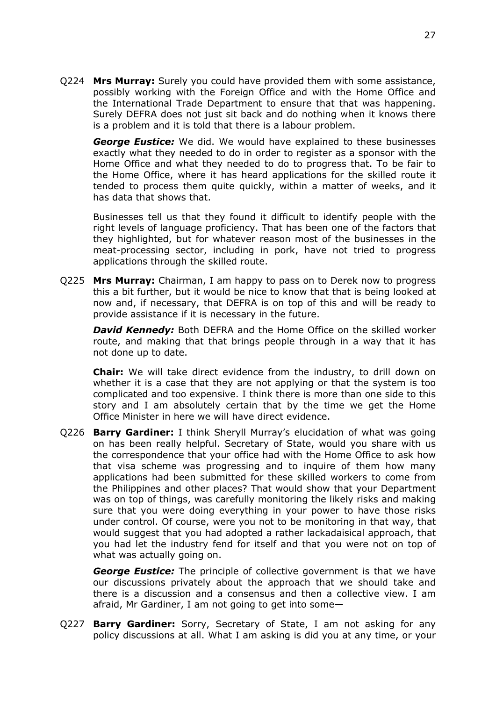Q224 **Mrs Murray:** Surely you could have provided them with some assistance, possibly working with the Foreign Office and with the Home Office and the International Trade Department to ensure that that was happening. Surely DEFRA does not just sit back and do nothing when it knows there is a problem and it is told that there is a labour problem.

*George Eustice:* We did. We would have explained to these businesses exactly what they needed to do in order to register as a sponsor with the Home Office and what they needed to do to progress that. To be fair to the Home Office, where it has heard applications for the skilled route it tended to process them quite quickly, within a matter of weeks, and it has data that shows that.

Businesses tell us that they found it difficult to identify people with the right levels of language proficiency. That has been one of the factors that they highlighted, but for whatever reason most of the businesses in the meat-processing sector, including in pork, have not tried to progress applications through the skilled route.

Q225 **Mrs Murray:** Chairman, I am happy to pass on to Derek now to progress this a bit further, but it would be nice to know that that is being looked at now and, if necessary, that DEFRA is on top of this and will be ready to provide assistance if it is necessary in the future.

*David Kennedy:* Both DEFRA and the Home Office on the skilled worker route, and making that that brings people through in a way that it has not done up to date.

**Chair:** We will take direct evidence from the industry, to drill down on whether it is a case that they are not applying or that the system is too complicated and too expensive. I think there is more than one side to this story and I am absolutely certain that by the time we get the Home Office Minister in here we will have direct evidence.

Q226 **Barry Gardiner:** I think Sheryll Murray's elucidation of what was going on has been really helpful. Secretary of State, would you share with us the correspondence that your office had with the Home Office to ask how that visa scheme was progressing and to inquire of them how many applications had been submitted for these skilled workers to come from the Philippines and other places? That would show that your Department was on top of things, was carefully monitoring the likely risks and making sure that you were doing everything in your power to have those risks under control. Of course, were you not to be monitoring in that way, that would suggest that you had adopted a rather lackadaisical approach, that you had let the industry fend for itself and that you were not on top of what was actually going on.

*George Eustice:* The principle of collective government is that we have our discussions privately about the approach that we should take and there is a discussion and a consensus and then a collective view. I am afraid, Mr Gardiner, I am not going to get into some—

Q227 **Barry Gardiner:** Sorry, Secretary of State, I am not asking for any policy discussions at all. What I am asking is did you at any time, or your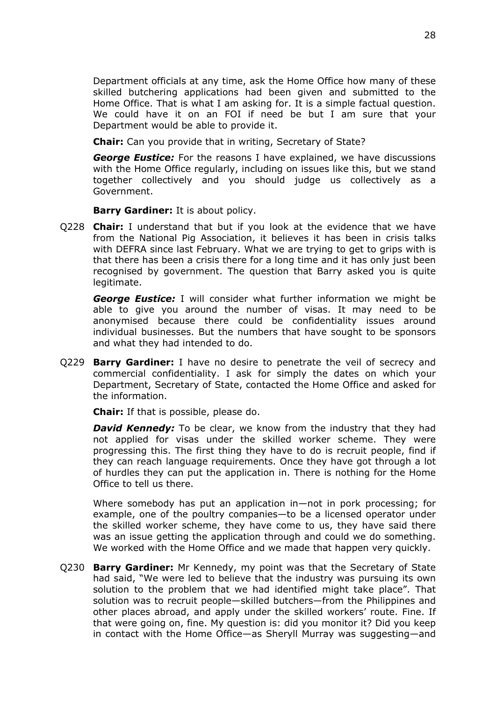Department officials at any time, ask the Home Office how many of these skilled butchering applications had been given and submitted to the Home Office. That is what I am asking for. It is a simple factual question. We could have it on an FOI if need be but I am sure that your Department would be able to provide it.

**Chair:** Can you provide that in writing, Secretary of State?

*George Eustice:* For the reasons I have explained, we have discussions with the Home Office regularly, including on issues like this, but we stand together collectively and you should judge us collectively as a Government.

**Barry Gardiner:** It is about policy.

Q228 **Chair:** I understand that but if you look at the evidence that we have from the National Pig Association, it believes it has been in crisis talks with DEFRA since last February. What we are trying to get to grips with is that there has been a crisis there for a long time and it has only just been recognised by government. The question that Barry asked you is quite legitimate.

*George Eustice:* I will consider what further information we might be able to give you around the number of visas. It may need to be anonymised because there could be confidentiality issues around individual businesses. But the numbers that have sought to be sponsors and what they had intended to do.

Q229 **Barry Gardiner:** I have no desire to penetrate the veil of secrecy and commercial confidentiality. I ask for simply the dates on which your Department, Secretary of State, contacted the Home Office and asked for the information.

**Chair:** If that is possible, please do.

*David Kennedy:* To be clear, we know from the industry that they had not applied for visas under the skilled worker scheme. They were progressing this. The first thing they have to do is recruit people, find if they can reach language requirements. Once they have got through a lot of hurdles they can put the application in. There is nothing for the Home Office to tell us there.

Where somebody has put an application in—not in pork processing; for example, one of the poultry companies—to be a licensed operator under the skilled worker scheme, they have come to us, they have said there was an issue getting the application through and could we do something. We worked with the Home Office and we made that happen very quickly.

Q230 **Barry Gardiner:** Mr Kennedy, my point was that the Secretary of State had said, "We were led to believe that the industry was pursuing its own solution to the problem that we had identified might take place". That solution was to recruit people—skilled butchers—from the Philippines and other places abroad, and apply under the skilled workers' route. Fine. If that were going on, fine. My question is: did you monitor it? Did you keep in contact with the Home Office—as Sheryll Murray was suggesting—and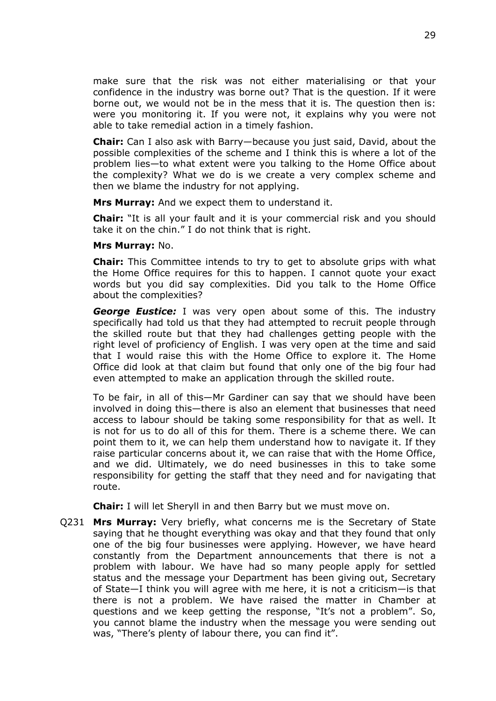make sure that the risk was not either materialising or that your confidence in the industry was borne out? That is the question. If it were borne out, we would not be in the mess that it is. The question then is: were you monitoring it. If you were not, it explains why you were not able to take remedial action in a timely fashion.

**Chair:** Can I also ask with Barry—because you just said, David, about the possible complexities of the scheme and I think this is where a lot of the problem lies—to what extent were you talking to the Home Office about the complexity? What we do is we create a very complex scheme and then we blame the industry for not applying.

**Mrs Murray:** And we expect them to understand it.

**Chair:** "It is all your fault and it is your commercial risk and you should take it on the chin." I do not think that is right.

#### **Mrs Murray:** No.

**Chair:** This Committee intends to try to get to absolute grips with what the Home Office requires for this to happen. I cannot quote your exact words but you did say complexities. Did you talk to the Home Office about the complexities?

*George Eustice:* I was very open about some of this. The industry specifically had told us that they had attempted to recruit people through the skilled route but that they had challenges getting people with the right level of proficiency of English. I was very open at the time and said that I would raise this with the Home Office to explore it. The Home Office did look at that claim but found that only one of the big four had even attempted to make an application through the skilled route.

To be fair, in all of this—Mr Gardiner can say that we should have been involved in doing this—there is also an element that businesses that need access to labour should be taking some responsibility for that as well. It is not for us to do all of this for them. There is a scheme there. We can point them to it, we can help them understand how to navigate it. If they raise particular concerns about it, we can raise that with the Home Office, and we did. Ultimately, we do need businesses in this to take some responsibility for getting the staff that they need and for navigating that route.

**Chair:** I will let Sheryll in and then Barry but we must move on.

Q231 **Mrs Murray:** Very briefly, what concerns me is the Secretary of State saying that he thought everything was okay and that they found that only one of the big four businesses were applying. However, we have heard constantly from the Department announcements that there is not a problem with labour. We have had so many people apply for settled status and the message your Department has been giving out, Secretary of State—I think you will agree with me here, it is not a criticism—is that there is not a problem. We have raised the matter in Chamber at questions and we keep getting the response, "It's not a problem". So, you cannot blame the industry when the message you were sending out was, "There's plenty of labour there, you can find it".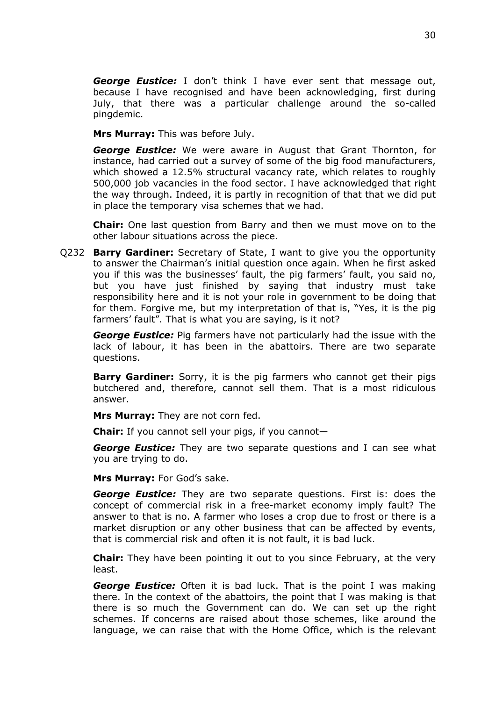*George Eustice:* I don't think I have ever sent that message out, because I have recognised and have been acknowledging, first during July, that there was a particular challenge around the so-called pingdemic.

**Mrs Murray:** This was before July.

*George Eustice:* We were aware in August that Grant Thornton, for instance, had carried out a survey of some of the big food manufacturers, which showed a 12.5% structural vacancy rate, which relates to roughly 500,000 job vacancies in the food sector. I have acknowledged that right the way through. Indeed, it is partly in recognition of that that we did put in place the temporary visa schemes that we had.

**Chair:** One last question from Barry and then we must move on to the other labour situations across the piece.

Q232 **Barry Gardiner:** Secretary of State, I want to give you the opportunity to answer the Chairman's initial question once again. When he first asked you if this was the businesses' fault, the pig farmers' fault, you said no, but you have just finished by saying that industry must take responsibility here and it is not your role in government to be doing that for them. Forgive me, but my interpretation of that is, "Yes, it is the pig farmers' fault". That is what you are saying, is it not?

*George Eustice:* Pig farmers have not particularly had the issue with the lack of labour, it has been in the abattoirs. There are two separate questions.

**Barry Gardiner:** Sorry, it is the pig farmers who cannot get their pigs butchered and, therefore, cannot sell them. That is a most ridiculous answer.

**Mrs Murray:** They are not corn fed.

**Chair:** If you cannot sell your pigs, if you cannot—

*George Eustice:* They are two separate questions and I can see what you are trying to do.

**Mrs Murray:** For God's sake.

*George Eustice:* They are two separate questions. First is: does the concept of commercial risk in a free-market economy imply fault? The answer to that is no. A farmer who loses a crop due to frost or there is a market disruption or any other business that can be affected by events, that is commercial risk and often it is not fault, it is bad luck.

**Chair:** They have been pointing it out to you since February, at the very least.

*George Eustice:* Often it is bad luck. That is the point I was making there. In the context of the abattoirs, the point that I was making is that there is so much the Government can do. We can set up the right schemes. If concerns are raised about those schemes, like around the language, we can raise that with the Home Office, which is the relevant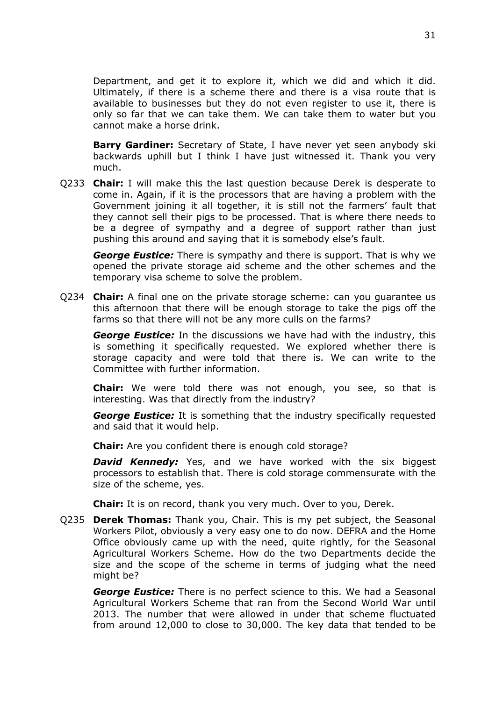Department, and get it to explore it, which we did and which it did. Ultimately, if there is a scheme there and there is a visa route that is available to businesses but they do not even register to use it, there is only so far that we can take them. We can take them to water but you cannot make a horse drink.

**Barry Gardiner:** Secretary of State, I have never yet seen anybody ski backwards uphill but I think I have just witnessed it. Thank you very much.

Q233 **Chair:** I will make this the last question because Derek is desperate to come in. Again, if it is the processors that are having a problem with the Government joining it all together, it is still not the farmers' fault that they cannot sell their pigs to be processed. That is where there needs to be a degree of sympathy and a degree of support rather than just pushing this around and saying that it is somebody else's fault.

*George Eustice:* There is sympathy and there is support. That is why we opened the private storage aid scheme and the other schemes and the temporary visa scheme to solve the problem.

Q234 **Chair:** A final one on the private storage scheme: can you guarantee us this afternoon that there will be enough storage to take the pigs off the farms so that there will not be any more culls on the farms?

*George Eustice:* In the discussions we have had with the industry, this is something it specifically requested. We explored whether there is storage capacity and were told that there is. We can write to the Committee with further information.

**Chair:** We were told there was not enough, you see, so that is interesting. Was that directly from the industry?

*George Eustice:* It is something that the industry specifically requested and said that it would help.

**Chair:** Are you confident there is enough cold storage?

**David Kennedy:** Yes, and we have worked with the six biggest processors to establish that. There is cold storage commensurate with the size of the scheme, yes.

**Chair:** It is on record, thank you very much. Over to you, Derek.

Q235 **Derek Thomas:** Thank you, Chair. This is my pet subject, the Seasonal Workers Pilot, obviously a very easy one to do now. DEFRA and the Home Office obviously came up with the need, quite rightly, for the Seasonal Agricultural Workers Scheme. How do the two Departments decide the size and the scope of the scheme in terms of judging what the need might be?

*George Eustice:* There is no perfect science to this. We had a Seasonal Agricultural Workers Scheme that ran from the Second World War until 2013. The number that were allowed in under that scheme fluctuated from around 12,000 to close to 30,000. The key data that tended to be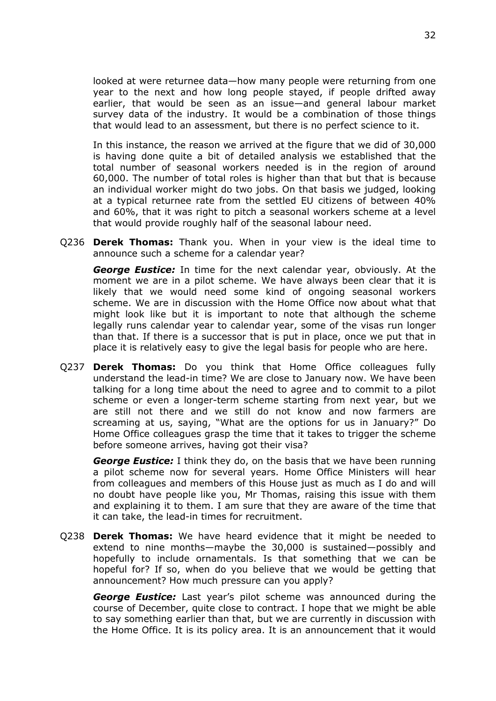looked at were returnee data—how many people were returning from one year to the next and how long people stayed, if people drifted away earlier, that would be seen as an issue—and general labour market survey data of the industry. It would be a combination of those things that would lead to an assessment, but there is no perfect science to it.

In this instance, the reason we arrived at the figure that we did of 30,000 is having done quite a bit of detailed analysis we established that the total number of seasonal workers needed is in the region of around 60,000. The number of total roles is higher than that but that is because an individual worker might do two jobs. On that basis we judged, looking at a typical returnee rate from the settled EU citizens of between 40% and 60%, that it was right to pitch a seasonal workers scheme at a level that would provide roughly half of the seasonal labour need.

Q236 **Derek Thomas:** Thank you. When in your view is the ideal time to announce such a scheme for a calendar year?

*George Eustice:* In time for the next calendar year, obviously. At the moment we are in a pilot scheme. We have always been clear that it is likely that we would need some kind of ongoing seasonal workers scheme. We are in discussion with the Home Office now about what that might look like but it is important to note that although the scheme legally runs calendar year to calendar year, some of the visas run longer than that. If there is a successor that is put in place, once we put that in place it is relatively easy to give the legal basis for people who are here.

Q237 **Derek Thomas:** Do you think that Home Office colleagues fully understand the lead-in time? We are close to January now. We have been talking for a long time about the need to agree and to commit to a pilot scheme or even a longer-term scheme starting from next year, but we are still not there and we still do not know and now farmers are screaming at us, saying, "What are the options for us in January?" Do Home Office colleagues grasp the time that it takes to trigger the scheme before someone arrives, having got their visa?

*George Eustice:* I think they do, on the basis that we have been running a pilot scheme now for several years. Home Office Ministers will hear from colleagues and members of this House just as much as I do and will no doubt have people like you, Mr Thomas, raising this issue with them and explaining it to them. I am sure that they are aware of the time that it can take, the lead-in times for recruitment.

Q238 **Derek Thomas:** We have heard evidence that it might be needed to extend to nine months—maybe the 30,000 is sustained—possibly and hopefully to include ornamentals. Is that something that we can be hopeful for? If so, when do you believe that we would be getting that announcement? How much pressure can you apply?

*George Eustice:* Last year's pilot scheme was announced during the course of December, quite close to contract. I hope that we might be able to say something earlier than that, but we are currently in discussion with the Home Office. It is its policy area. It is an announcement that it would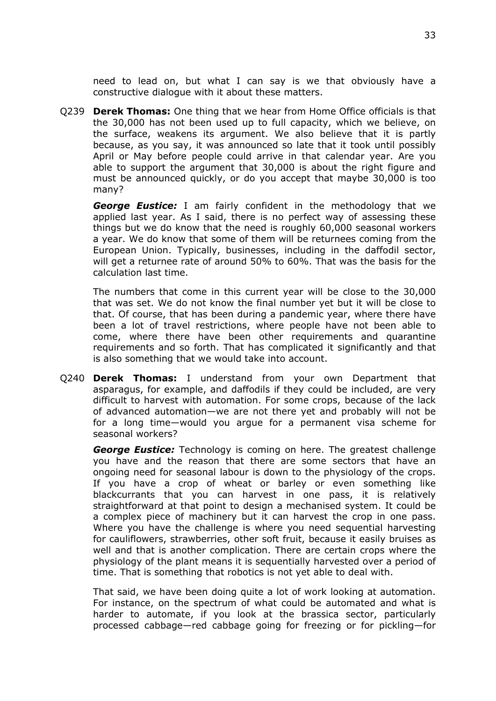need to lead on, but what I can say is we that obviously have a constructive dialogue with it about these matters.

Q239 **Derek Thomas:** One thing that we hear from Home Office officials is that the 30,000 has not been used up to full capacity, which we believe, on the surface, weakens its argument. We also believe that it is partly because, as you say, it was announced so late that it took until possibly April or May before people could arrive in that calendar year. Are you able to support the argument that 30,000 is about the right figure and must be announced quickly, or do you accept that maybe 30,000 is too many?

*George Eustice:* I am fairly confident in the methodology that we applied last year. As I said, there is no perfect way of assessing these things but we do know that the need is roughly 60,000 seasonal workers a year. We do know that some of them will be returnees coming from the European Union. Typically, businesses, including in the daffodil sector, will get a returnee rate of around 50% to 60%. That was the basis for the calculation last time.

The numbers that come in this current year will be close to the 30,000 that was set. We do not know the final number yet but it will be close to that. Of course, that has been during a pandemic year, where there have been a lot of travel restrictions, where people have not been able to come, where there have been other requirements and quarantine requirements and so forth. That has complicated it significantly and that is also something that we would take into account.

Q240 **Derek Thomas:** I understand from your own Department that asparagus, for example, and daffodils if they could be included, are very difficult to harvest with automation. For some crops, because of the lack of advanced automation—we are not there yet and probably will not be for a long time—would you argue for a permanent visa scheme for seasonal workers?

*George Eustice:* Technology is coming on here. The greatest challenge you have and the reason that there are some sectors that have an ongoing need for seasonal labour is down to the physiology of the crops. If you have a crop of wheat or barley or even something like blackcurrants that you can harvest in one pass, it is relatively straightforward at that point to design a mechanised system. It could be a complex piece of machinery but it can harvest the crop in one pass. Where you have the challenge is where you need sequential harvesting for cauliflowers, strawberries, other soft fruit, because it easily bruises as well and that is another complication. There are certain crops where the physiology of the plant means it is sequentially harvested over a period of time. That is something that robotics is not yet able to deal with.

That said, we have been doing quite a lot of work looking at automation. For instance, on the spectrum of what could be automated and what is harder to automate, if you look at the brassica sector, particularly processed cabbage—red cabbage going for freezing or for pickling—for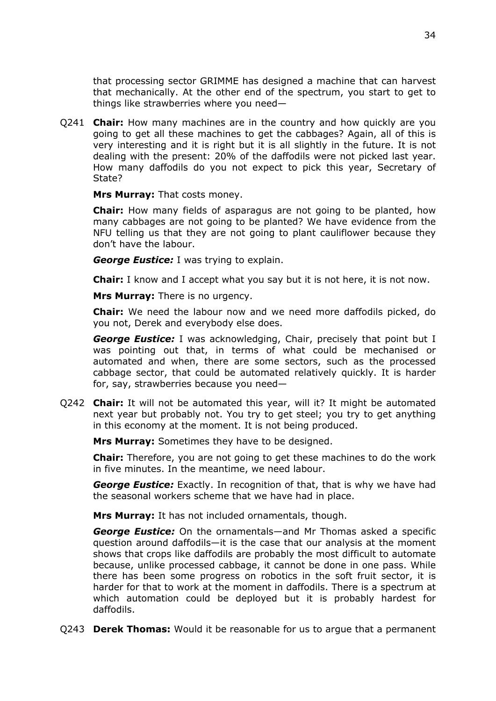that processing sector GRIMME has designed a machine that can harvest that mechanically. At the other end of the spectrum, you start to get to things like strawberries where you need—

Q241 **Chair:** How many machines are in the country and how quickly are you going to get all these machines to get the cabbages? Again, all of this is very interesting and it is right but it is all slightly in the future. It is not dealing with the present: 20% of the daffodils were not picked last year. How many daffodils do you not expect to pick this year, Secretary of State?

**Mrs Murray:** That costs money.

**Chair:** How many fields of asparagus are not going to be planted, how many cabbages are not going to be planted? We have evidence from the NFU telling us that they are not going to plant cauliflower because they don't have the labour.

*George Eustice:* I was trying to explain.

**Chair:** I know and I accept what you say but it is not here, it is not now.

**Mrs Murray:** There is no urgency.

**Chair:** We need the labour now and we need more daffodils picked, do you not, Derek and everybody else does.

*George Eustice:* I was acknowledging, Chair, precisely that point but I was pointing out that, in terms of what could be mechanised or automated and when, there are some sectors, such as the processed cabbage sector, that could be automated relatively quickly. It is harder for, say, strawberries because you need—

Q242 **Chair:** It will not be automated this year, will it? It might be automated next year but probably not. You try to get steel; you try to get anything in this economy at the moment. It is not being produced.

**Mrs Murray:** Sometimes they have to be designed.

**Chair:** Therefore, you are not going to get these machines to do the work in five minutes. In the meantime, we need labour.

*George Eustice:* Exactly. In recognition of that, that is why we have had the seasonal workers scheme that we have had in place.

**Mrs Murray:** It has not included ornamentals, though.

*George Eustice:* On the ornamentals—and Mr Thomas asked a specific question around daffodils—it is the case that our analysis at the moment shows that crops like daffodils are probably the most difficult to automate because, unlike processed cabbage, it cannot be done in one pass. While there has been some progress on robotics in the soft fruit sector, it is harder for that to work at the moment in daffodils. There is a spectrum at which automation could be deployed but it is probably hardest for daffodils.

Q243 **Derek Thomas:** Would it be reasonable for us to argue that a permanent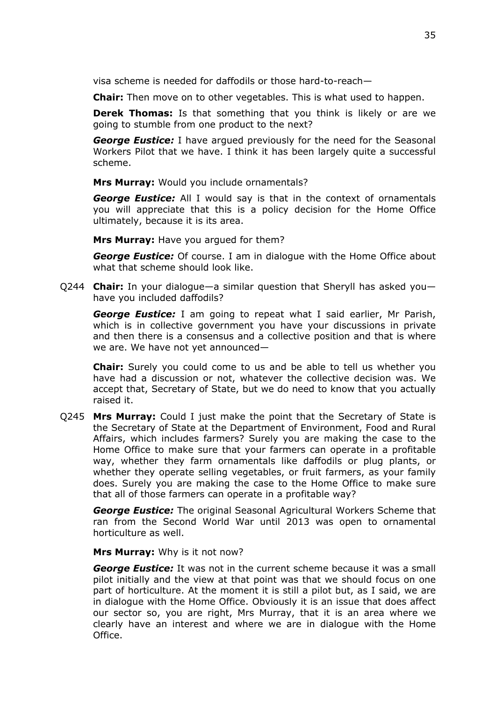visa scheme is needed for daffodils or those hard-to-reach—

**Chair:** Then move on to other vegetables. This is what used to happen.

**Derek Thomas:** Is that something that you think is likely or are we going to stumble from one product to the next?

*George Eustice:* I have argued previously for the need for the Seasonal Workers Pilot that we have. I think it has been largely quite a successful scheme.

**Mrs Murray:** Would you include ornamentals?

*George Eustice:* All I would say is that in the context of ornamentals you will appreciate that this is a policy decision for the Home Office ultimately, because it is its area.

**Mrs Murray:** Have you argued for them?

*George Eustice:* Of course. I am in dialogue with the Home Office about what that scheme should look like.

Q244 **Chair:** In your dialogue—a similar question that Sheryll has asked you have you included daffodils?

*George Eustice:* I am going to repeat what I said earlier, Mr Parish, which is in collective government you have your discussions in private and then there is a consensus and a collective position and that is where we are. We have not yet announced—

**Chair:** Surely you could come to us and be able to tell us whether you have had a discussion or not, whatever the collective decision was. We accept that, Secretary of State, but we do need to know that you actually raised it.

Q245 **Mrs Murray:** Could I just make the point that the Secretary of State is the Secretary of State at the Department of Environment, Food and Rural Affairs, which includes farmers? Surely you are making the case to the Home Office to make sure that your farmers can operate in a profitable way, whether they farm ornamentals like daffodils or plug plants, or whether they operate selling vegetables, or fruit farmers, as your family does. Surely you are making the case to the Home Office to make sure that all of those farmers can operate in a profitable way?

*George Eustice:* The original Seasonal Agricultural Workers Scheme that ran from the Second World War until 2013 was open to ornamental horticulture as well.

**Mrs Murray:** Why is it not now?

*George Eustice:* It was not in the current scheme because it was a small pilot initially and the view at that point was that we should focus on one part of horticulture. At the moment it is still a pilot but, as I said, we are in dialogue with the Home Office. Obviously it is an issue that does affect our sector so, you are right, Mrs Murray, that it is an area where we clearly have an interest and where we are in dialogue with the Home Office.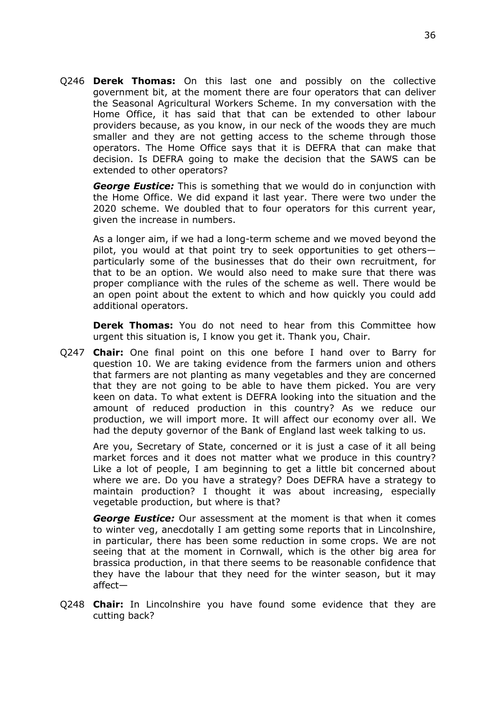Q246 **Derek Thomas:** On this last one and possibly on the collective government bit, at the moment there are four operators that can deliver the Seasonal Agricultural Workers Scheme. In my conversation with the Home Office, it has said that that can be extended to other labour providers because, as you know, in our neck of the woods they are much smaller and they are not getting access to the scheme through those operators. The Home Office says that it is DEFRA that can make that decision. Is DEFRA going to make the decision that the SAWS can be extended to other operators?

*George Eustice:* This is something that we would do in conjunction with the Home Office. We did expand it last year. There were two under the 2020 scheme. We doubled that to four operators for this current year, given the increase in numbers.

As a longer aim, if we had a long-term scheme and we moved beyond the pilot, you would at that point try to seek opportunities to get others particularly some of the businesses that do their own recruitment, for that to be an option. We would also need to make sure that there was proper compliance with the rules of the scheme as well. There would be an open point about the extent to which and how quickly you could add additional operators.

**Derek Thomas:** You do not need to hear from this Committee how urgent this situation is, I know you get it. Thank you, Chair.

Q247 **Chair:** One final point on this one before I hand over to Barry for question 10. We are taking evidence from the farmers union and others that farmers are not planting as many vegetables and they are concerned that they are not going to be able to have them picked. You are very keen on data. To what extent is DEFRA looking into the situation and the amount of reduced production in this country? As we reduce our production, we will import more. It will affect our economy over all. We had the deputy governor of the Bank of England last week talking to us.

Are you, Secretary of State, concerned or it is just a case of it all being market forces and it does not matter what we produce in this country? Like a lot of people, I am beginning to get a little bit concerned about where we are. Do you have a strategy? Does DEFRA have a strategy to maintain production? I thought it was about increasing, especially vegetable production, but where is that?

*George Eustice:* Our assessment at the moment is that when it comes to winter veg, anecdotally I am getting some reports that in Lincolnshire, in particular, there has been some reduction in some crops. We are not seeing that at the moment in Cornwall, which is the other big area for brassica production, in that there seems to be reasonable confidence that they have the labour that they need for the winter season, but it may affect—

Q248 **Chair:** In Lincolnshire you have found some evidence that they are cutting back?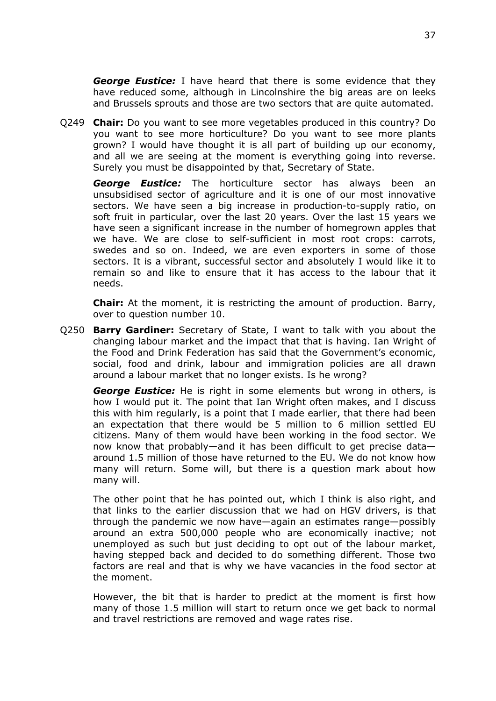*George Eustice:* I have heard that there is some evidence that they have reduced some, although in Lincolnshire the big areas are on leeks and Brussels sprouts and those are two sectors that are quite automated.

Q249 **Chair:** Do you want to see more vegetables produced in this country? Do you want to see more horticulture? Do you want to see more plants grown? I would have thought it is all part of building up our economy, and all we are seeing at the moment is everything going into reverse. Surely you must be disappointed by that, Secretary of State.

*George Eustice:* The horticulture sector has always been an unsubsidised sector of agriculture and it is one of our most innovative sectors. We have seen a big increase in production-to-supply ratio, on soft fruit in particular, over the last 20 years. Over the last 15 years we have seen a significant increase in the number of homegrown apples that we have. We are close to self-sufficient in most root crops: carrots, swedes and so on. Indeed, we are even exporters in some of those sectors. It is a vibrant, successful sector and absolutely I would like it to remain so and like to ensure that it has access to the labour that it needs.

**Chair:** At the moment, it is restricting the amount of production. Barry, over to question number 10.

Q250 **Barry Gardiner:** Secretary of State, I want to talk with you about the changing labour market and the impact that that is having. Ian Wright of the Food and Drink Federation has said that the Government's economic, social, food and drink, labour and immigration policies are all drawn around a labour market that no longer exists. Is he wrong?

*George Eustice:* He is right in some elements but wrong in others, is how I would put it. The point that Ian Wright often makes, and I discuss this with him regularly, is a point that I made earlier, that there had been an expectation that there would be 5 million to 6 million settled EU citizens. Many of them would have been working in the food sector. We now know that probably—and it has been difficult to get precise data around 1.5 million of those have returned to the EU. We do not know how many will return. Some will, but there is a question mark about how many will.

The other point that he has pointed out, which I think is also right, and that links to the earlier discussion that we had on HGV drivers, is that through the pandemic we now have—again an estimates range—possibly around an extra 500,000 people who are economically inactive; not unemployed as such but just deciding to opt out of the labour market, having stepped back and decided to do something different. Those two factors are real and that is why we have vacancies in the food sector at the moment.

However, the bit that is harder to predict at the moment is first how many of those 1.5 million will start to return once we get back to normal and travel restrictions are removed and wage rates rise.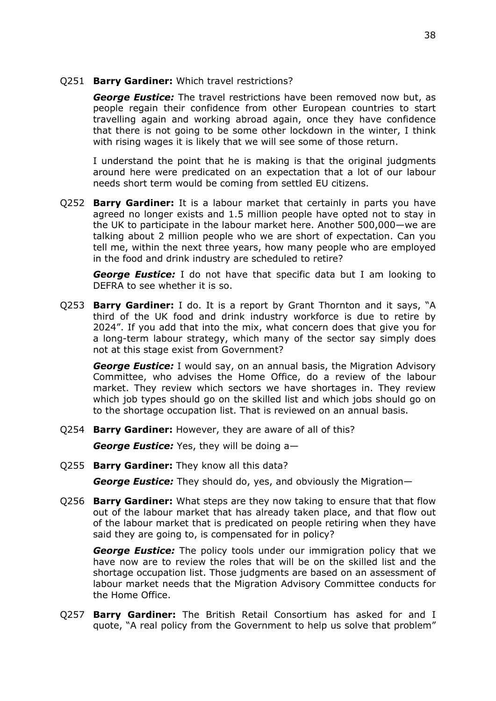Q251 **Barry Gardiner:** Which travel restrictions?

*George Eustice:* The travel restrictions have been removed now but, as people regain their confidence from other European countries to start travelling again and working abroad again, once they have confidence that there is not going to be some other lockdown in the winter, I think with rising wages it is likely that we will see some of those return.

I understand the point that he is making is that the original judgments around here were predicated on an expectation that a lot of our labour needs short term would be coming from settled EU citizens.

Q252 **Barry Gardiner:** It is a labour market that certainly in parts you have agreed no longer exists and 1.5 million people have opted not to stay in the UK to participate in the labour market here. Another 500,000—we are talking about 2 million people who we are short of expectation. Can you tell me, within the next three years, how many people who are employed in the food and drink industry are scheduled to retire?

*George Eustice:* I do not have that specific data but I am looking to DEFRA to see whether it is so.

Q253 **Barry Gardiner:** I do. It is a report by Grant Thornton and it says, "A third of the UK food and drink industry workforce is due to retire by 2024". If you add that into the mix, what concern does that give you for a long-term labour strategy, which many of the sector say simply does not at this stage exist from Government?

*George Eustice:* I would say, on an annual basis, the Migration Advisory Committee, who advises the Home Office, do a review of the labour market. They review which sectors we have shortages in. They review which job types should go on the skilled list and which jobs should go on to the shortage occupation list. That is reviewed on an annual basis.

Q254 **Barry Gardiner:** However, they are aware of all of this?

*George Eustice:* Yes, they will be doing a—

Q255 **Barry Gardiner:** They know all this data?

*George Eustice:* They should do, yes, and obviously the Migration—

Q256 **Barry Gardiner:** What steps are they now taking to ensure that that flow out of the labour market that has already taken place, and that flow out of the labour market that is predicated on people retiring when they have said they are going to, is compensated for in policy?

*George Eustice:* The policy tools under our immigration policy that we have now are to review the roles that will be on the skilled list and the shortage occupation list. Those judgments are based on an assessment of labour market needs that the Migration Advisory Committee conducts for the Home Office.

Q257 **Barry Gardiner:** The British Retail Consortium has asked for and I quote, "A real policy from the Government to help us solve that problem"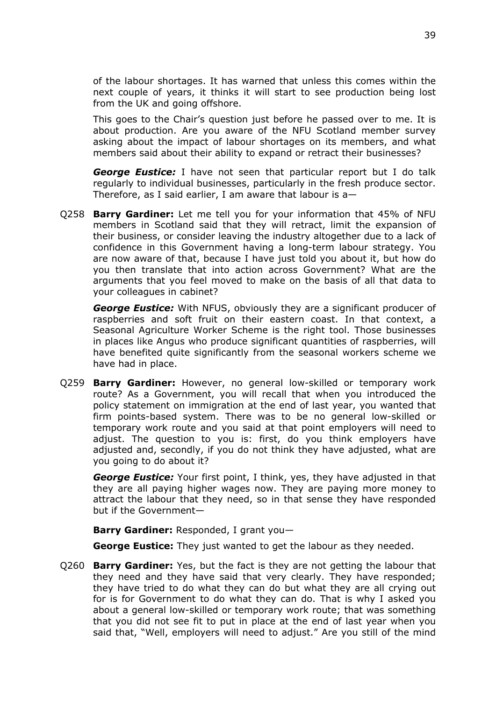of the labour shortages. It has warned that unless this comes within the next couple of years, it thinks it will start to see production being lost from the UK and going offshore.

This goes to the Chair's question just before he passed over to me. It is about production. Are you aware of the NFU Scotland member survey asking about the impact of labour shortages on its members, and what members said about their ability to expand or retract their businesses?

*George Eustice:* I have not seen that particular report but I do talk regularly to individual businesses, particularly in the fresh produce sector. Therefore, as I said earlier, I am aware that labour is a—

Q258 **Barry Gardiner:** Let me tell you for your information that 45% of NFU members in Scotland said that they will retract, limit the expansion of their business, or consider leaving the industry altogether due to a lack of confidence in this Government having a long-term labour strategy. You are now aware of that, because I have just told you about it, but how do you then translate that into action across Government? What are the arguments that you feel moved to make on the basis of all that data to your colleagues in cabinet?

*George Eustice:* With NFUS, obviously they are a significant producer of raspberries and soft fruit on their eastern coast. In that context, a Seasonal Agriculture Worker Scheme is the right tool. Those businesses in places like Angus who produce significant quantities of raspberries, will have benefited quite significantly from the seasonal workers scheme we have had in place.

Q259 **Barry Gardiner:** However, no general low-skilled or temporary work route? As a Government, you will recall that when you introduced the policy statement on immigration at the end of last year, you wanted that firm points-based system. There was to be no general low-skilled or temporary work route and you said at that point employers will need to adjust. The question to you is: first, do you think employers have adjusted and, secondly, if you do not think they have adjusted, what are you going to do about it?

*George Eustice:* Your first point, I think, yes, they have adjusted in that they are all paying higher wages now. They are paying more money to attract the labour that they need, so in that sense they have responded but if the Government—

**Barry Gardiner:** Responded, I grant you—

**George Eustice:** They just wanted to get the labour as they needed.

Q260 **Barry Gardiner:** Yes, but the fact is they are not getting the labour that they need and they have said that very clearly. They have responded; they have tried to do what they can do but what they are all crying out for is for Government to do what they can do. That is why I asked you about a general low-skilled or temporary work route; that was something that you did not see fit to put in place at the end of last year when you said that, "Well, employers will need to adjust." Are you still of the mind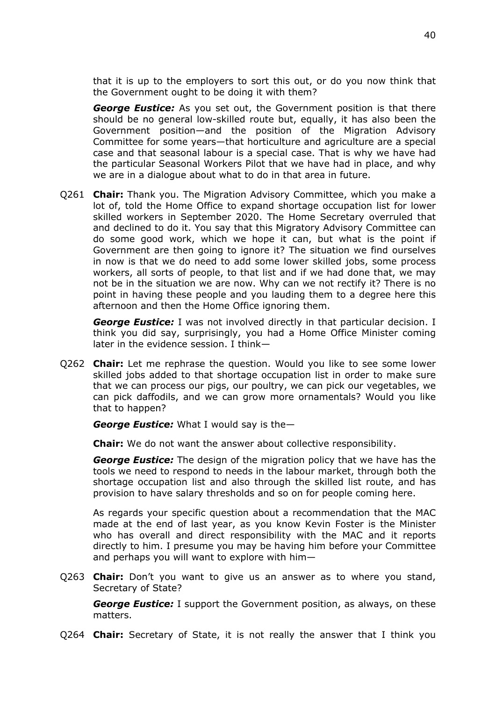that it is up to the employers to sort this out, or do you now think that the Government ought to be doing it with them?

*George Eustice:* As you set out, the Government position is that there should be no general low-skilled route but, equally, it has also been the Government position—and the position of the Migration Advisory Committee for some years—that horticulture and agriculture are a special case and that seasonal labour is a special case. That is why we have had the particular Seasonal Workers Pilot that we have had in place, and why we are in a dialogue about what to do in that area in future.

Q261 **Chair:** Thank you. The Migration Advisory Committee, which you make a lot of, told the Home Office to expand shortage occupation list for lower skilled workers in September 2020. The Home Secretary overruled that and declined to do it. You say that this Migratory Advisory Committee can do some good work, which we hope it can, but what is the point if Government are then going to ignore it? The situation we find ourselves in now is that we do need to add some lower skilled jobs, some process workers, all sorts of people, to that list and if we had done that, we may not be in the situation we are now. Why can we not rectify it? There is no point in having these people and you lauding them to a degree here this afternoon and then the Home Office ignoring them.

*George Eustice:* I was not involved directly in that particular decision. I think you did say, surprisingly, you had a Home Office Minister coming later in the evidence session. I think—

Q262 **Chair:** Let me rephrase the question. Would you like to see some lower skilled jobs added to that shortage occupation list in order to make sure that we can process our pigs, our poultry, we can pick our vegetables, we can pick daffodils, and we can grow more ornamentals? Would you like that to happen?

*George Eustice:* What I would say is the—

**Chair:** We do not want the answer about collective responsibility.

*George Eustice:* The design of the migration policy that we have has the tools we need to respond to needs in the labour market, through both the shortage occupation list and also through the skilled list route, and has provision to have salary thresholds and so on for people coming here.

As regards your specific question about a recommendation that the MAC made at the end of last year, as you know Kevin Foster is the Minister who has overall and direct responsibility with the MAC and it reports directly to him. I presume you may be having him before your Committee and perhaps you will want to explore with him—

Q263 **Chair:** Don't you want to give us an answer as to where you stand, Secretary of State?

*George Eustice:* I support the Government position, as always, on these matters.

Q264 **Chair:** Secretary of State, it is not really the answer that I think you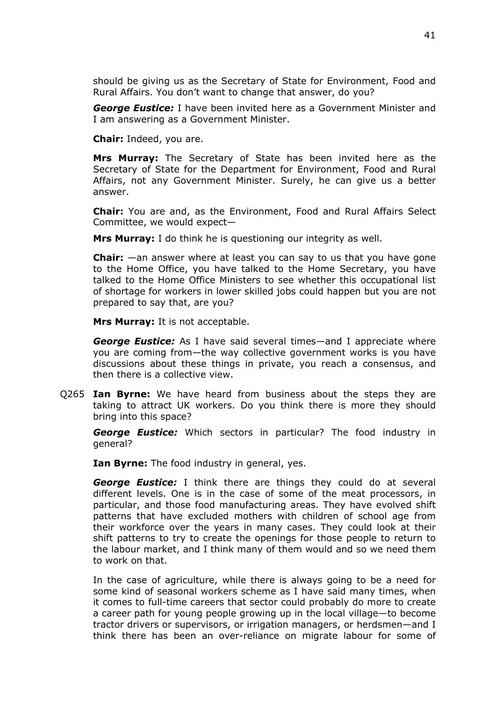should be giving us as the Secretary of State for Environment, Food and Rural Affairs. You don't want to change that answer, do you?

*George Eustice:* I have been invited here as a Government Minister and I am answering as a Government Minister.

**Chair:** Indeed, you are.

**Mrs Murray:** The Secretary of State has been invited here as the Secretary of State for the Department for Environment, Food and Rural Affairs, not any Government Minister. Surely, he can give us a better answer.

**Chair:** You are and, as the Environment, Food and Rural Affairs Select Committee, we would expect—

**Mrs Murray:** I do think he is questioning our integrity as well.

**Chair:** —an answer where at least you can say to us that you have gone to the Home Office, you have talked to the Home Secretary, you have talked to the Home Office Ministers to see whether this occupational list of shortage for workers in lower skilled jobs could happen but you are not prepared to say that, are you?

**Mrs Murray:** It is not acceptable.

*George Eustice:* As I have said several times—and I appreciate where you are coming from—the way collective government works is you have discussions about these things in private, you reach a consensus, and then there is a collective view.

Q265 **Ian Byrne:** We have heard from business about the steps they are taking to attract UK workers. Do you think there is more they should bring into this space?

*George Eustice:* Which sectors in particular? The food industry in general?

**Ian Byrne:** The food industry in general, yes.

*George Eustice:* I think there are things they could do at several different levels. One is in the case of some of the meat processors, in particular, and those food manufacturing areas. They have evolved shift patterns that have excluded mothers with children of school age from their workforce over the years in many cases. They could look at their shift patterns to try to create the openings for those people to return to the labour market, and I think many of them would and so we need them to work on that.

In the case of agriculture, while there is always going to be a need for some kind of seasonal workers scheme as I have said many times, when it comes to full-time careers that sector could probably do more to create a career path for young people growing up in the local village—to become tractor drivers or supervisors, or irrigation managers, or herdsmen—and I think there has been an over-reliance on migrate labour for some of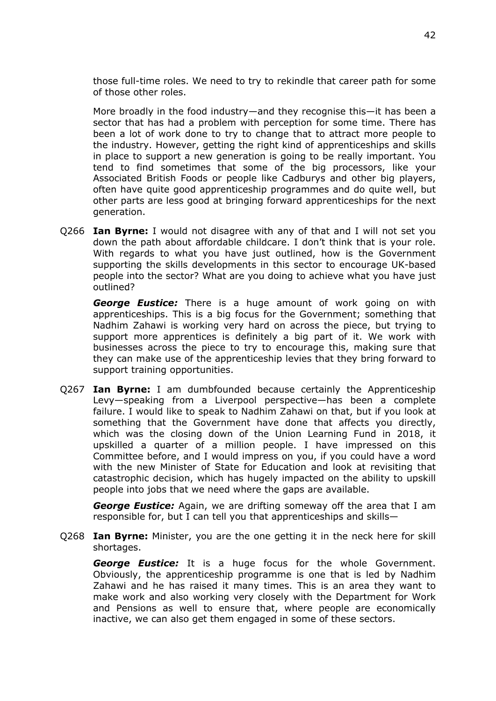those full-time roles. We need to try to rekindle that career path for some of those other roles.

More broadly in the food industry—and they recognise this—it has been a sector that has had a problem with perception for some time. There has been a lot of work done to try to change that to attract more people to the industry. However, getting the right kind of apprenticeships and skills in place to support a new generation is going to be really important. You tend to find sometimes that some of the big processors, like your Associated British Foods or people like Cadburys and other big players, often have quite good apprenticeship programmes and do quite well, but other parts are less good at bringing forward apprenticeships for the next generation.

Q266 **Ian Byrne:** I would not disagree with any of that and I will not set you down the path about affordable childcare. I don't think that is your role. With regards to what you have just outlined, how is the Government supporting the skills developments in this sector to encourage UK-based people into the sector? What are you doing to achieve what you have just outlined?

*George Eustice:* There is a huge amount of work going on with apprenticeships. This is a big focus for the Government; something that Nadhim Zahawi is working very hard on across the piece, but trying to support more apprentices is definitely a big part of it. We work with businesses across the piece to try to encourage this, making sure that they can make use of the apprenticeship levies that they bring forward to support training opportunities.

Q267 **Ian Byrne:** I am dumbfounded because certainly the Apprenticeship Levy—speaking from a Liverpool perspective—has been a complete failure. I would like to speak to Nadhim Zahawi on that, but if you look at something that the Government have done that affects you directly, which was the closing down of the Union Learning Fund in 2018, it upskilled a quarter of a million people. I have impressed on this Committee before, and I would impress on you, if you could have a word with the new Minister of State for Education and look at revisiting that catastrophic decision, which has hugely impacted on the ability to upskill people into jobs that we need where the gaps are available.

*George Eustice:* Again, we are drifting someway off the area that I am responsible for, but I can tell you that apprenticeships and skills—

Q268 **Ian Byrne:** Minister, you are the one getting it in the neck here for skill shortages.

*George Eustice:* It is a huge focus for the whole Government. Obviously, the apprenticeship programme is one that is led by Nadhim Zahawi and he has raised it many times. This is an area they want to make work and also working very closely with the Department for Work and Pensions as well to ensure that, where people are economically inactive, we can also get them engaged in some of these sectors.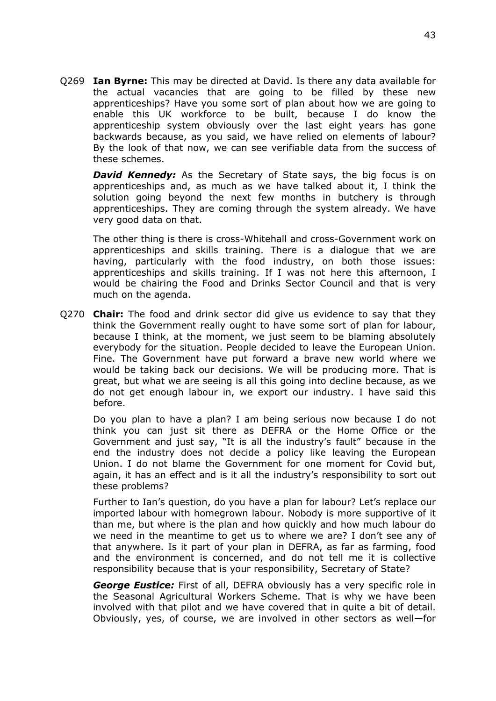Q269 **Ian Byrne:** This may be directed at David. Is there any data available for the actual vacancies that are going to be filled by these new apprenticeships? Have you some sort of plan about how we are going to enable this UK workforce to be built, because I do know the apprenticeship system obviously over the last eight years has gone backwards because, as you said, we have relied on elements of labour? By the look of that now, we can see verifiable data from the success of these schemes.

**David Kennedy:** As the Secretary of State says, the big focus is on apprenticeships and, as much as we have talked about it, I think the solution going beyond the next few months in butchery is through apprenticeships. They are coming through the system already. We have very good data on that.

The other thing is there is cross-Whitehall and cross-Government work on apprenticeships and skills training. There is a dialogue that we are having, particularly with the food industry, on both those issues: apprenticeships and skills training. If I was not here this afternoon, I would be chairing the Food and Drinks Sector Council and that is very much on the agenda.

Q270 **Chair:** The food and drink sector did give us evidence to say that they think the Government really ought to have some sort of plan for labour, because I think, at the moment, we just seem to be blaming absolutely everybody for the situation. People decided to leave the European Union. Fine. The Government have put forward a brave new world where we would be taking back our decisions. We will be producing more. That is great, but what we are seeing is all this going into decline because, as we do not get enough labour in, we export our industry. I have said this before.

Do you plan to have a plan? I am being serious now because I do not think you can just sit there as DEFRA or the Home Office or the Government and just say, "It is all the industry's fault" because in the end the industry does not decide a policy like leaving the European Union. I do not blame the Government for one moment for Covid but, again, it has an effect and is it all the industry's responsibility to sort out these problems?

Further to Ian's question, do you have a plan for labour? Let's replace our imported labour with homegrown labour. Nobody is more supportive of it than me, but where is the plan and how quickly and how much labour do we need in the meantime to get us to where we are? I don't see any of that anywhere. Is it part of your plan in DEFRA, as far as farming, food and the environment is concerned, and do not tell me it is collective responsibility because that is your responsibility, Secretary of State?

*George Eustice:* First of all, DEFRA obviously has a very specific role in the Seasonal Agricultural Workers Scheme. That is why we have been involved with that pilot and we have covered that in quite a bit of detail. Obviously, yes, of course, we are involved in other sectors as well—for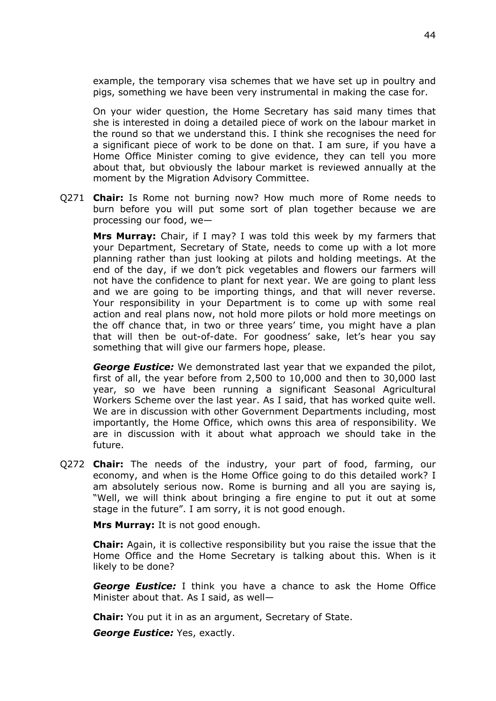example, the temporary visa schemes that we have set up in poultry and pigs, something we have been very instrumental in making the case for.

On your wider question, the Home Secretary has said many times that she is interested in doing a detailed piece of work on the labour market in the round so that we understand this. I think she recognises the need for a significant piece of work to be done on that. I am sure, if you have a Home Office Minister coming to give evidence, they can tell you more about that, but obviously the labour market is reviewed annually at the moment by the Migration Advisory Committee.

Q271 **Chair:** Is Rome not burning now? How much more of Rome needs to burn before you will put some sort of plan together because we are processing our food, we—

**Mrs Murray:** Chair, if I may? I was told this week by my farmers that your Department, Secretary of State, needs to come up with a lot more planning rather than just looking at pilots and holding meetings. At the end of the day, if we don't pick vegetables and flowers our farmers will not have the confidence to plant for next year. We are going to plant less and we are going to be importing things, and that will never reverse. Your responsibility in your Department is to come up with some real action and real plans now, not hold more pilots or hold more meetings on the off chance that, in two or three years' time, you might have a plan that will then be out-of-date. For goodness' sake, let's hear you say something that will give our farmers hope, please.

*George Eustice:* We demonstrated last year that we expanded the pilot, first of all, the year before from 2,500 to 10,000 and then to 30,000 last year, so we have been running a significant Seasonal Agricultural Workers Scheme over the last year. As I said, that has worked quite well. We are in discussion with other Government Departments including, most importantly, the Home Office, which owns this area of responsibility. We are in discussion with it about what approach we should take in the future.

Q272 **Chair:** The needs of the industry, your part of food, farming, our economy, and when is the Home Office going to do this detailed work? I am absolutely serious now. Rome is burning and all you are saying is, "Well, we will think about bringing a fire engine to put it out at some stage in the future". I am sorry, it is not good enough.

**Mrs Murray:** It is not good enough.

**Chair:** Again, it is collective responsibility but you raise the issue that the Home Office and the Home Secretary is talking about this. When is it likely to be done?

*George Eustice:* I think you have a chance to ask the Home Office Minister about that. As I said, as well—

**Chair:** You put it in as an argument, Secretary of State.

*George Eustice:* Yes, exactly.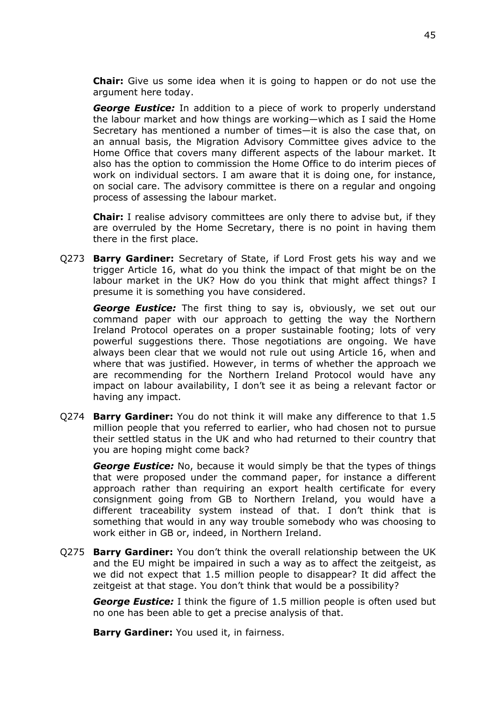**Chair:** Give us some idea when it is going to happen or do not use the argument here today.

*George Eustice:* In addition to a piece of work to properly understand the labour market and how things are working—which as I said the Home Secretary has mentioned a number of times—it is also the case that, on an annual basis, the Migration Advisory Committee gives advice to the Home Office that covers many different aspects of the labour market. It also has the option to commission the Home Office to do interim pieces of work on individual sectors. I am aware that it is doing one, for instance, on social care. The advisory committee is there on a regular and ongoing process of assessing the labour market.

**Chair:** I realise advisory committees are only there to advise but, if they are overruled by the Home Secretary, there is no point in having them there in the first place.

Q273 **Barry Gardiner:** Secretary of State, if Lord Frost gets his way and we trigger Article 16, what do you think the impact of that might be on the labour market in the UK? How do you think that might affect things? I presume it is something you have considered.

*George Eustice:* The first thing to say is, obviously, we set out our command paper with our approach to getting the way the Northern Ireland Protocol operates on a proper sustainable footing; lots of very powerful suggestions there. Those negotiations are ongoing. We have always been clear that we would not rule out using Article 16, when and where that was justified. However, in terms of whether the approach we are recommending for the Northern Ireland Protocol would have any impact on labour availability, I don't see it as being a relevant factor or having any impact.

Q274 **Barry Gardiner:** You do not think it will make any difference to that 1.5 million people that you referred to earlier, who had chosen not to pursue their settled status in the UK and who had returned to their country that you are hoping might come back?

*George Eustice:* No, because it would simply be that the types of things that were proposed under the command paper, for instance a different approach rather than requiring an export health certificate for every consignment going from GB to Northern Ireland, you would have a different traceability system instead of that. I don't think that is something that would in any way trouble somebody who was choosing to work either in GB or, indeed, in Northern Ireland.

Q275 **Barry Gardiner:** You don't think the overall relationship between the UK and the EU might be impaired in such a way as to affect the zeitgeist, as we did not expect that 1.5 million people to disappear? It did affect the zeitgeist at that stage. You don't think that would be a possibility?

*George Eustice:* I think the figure of 1.5 million people is often used but no one has been able to get a precise analysis of that.

**Barry Gardiner:** You used it, in fairness.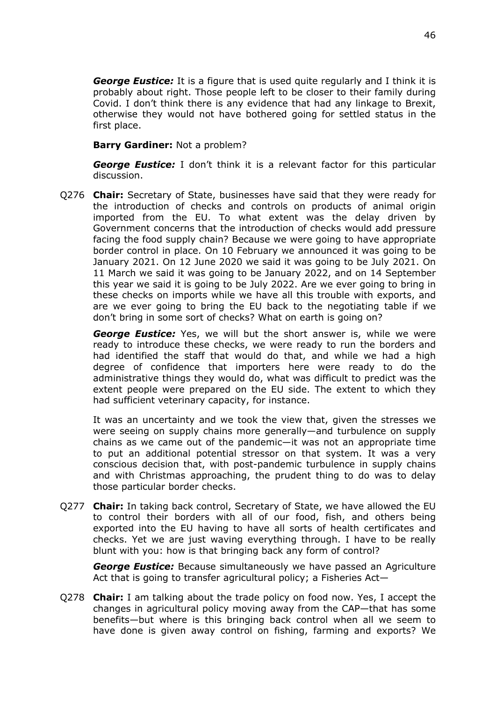*George Eustice:* It is a figure that is used quite regularly and I think it is probably about right. Those people left to be closer to their family during Covid. I don't think there is any evidence that had any linkage to Brexit, otherwise they would not have bothered going for settled status in the first place.

#### **Barry Gardiner:** Not a problem?

*George Eustice:* I don't think it is a relevant factor for this particular discussion.

Q276 **Chair:** Secretary of State, businesses have said that they were ready for the introduction of checks and controls on products of animal origin imported from the EU. To what extent was the delay driven by Government concerns that the introduction of checks would add pressure facing the food supply chain? Because we were going to have appropriate border control in place. On 10 February we announced it was going to be January 2021. On 12 June 2020 we said it was going to be July 2021. On 11 March we said it was going to be January 2022, and on 14 September this year we said it is going to be July 2022. Are we ever going to bring in these checks on imports while we have all this trouble with exports, and are we ever going to bring the EU back to the negotiating table if we don't bring in some sort of checks? What on earth is going on?

*George Eustice:* Yes, we will but the short answer is, while we were ready to introduce these checks, we were ready to run the borders and had identified the staff that would do that, and while we had a high degree of confidence that importers here were ready to do the administrative things they would do, what was difficult to predict was the extent people were prepared on the EU side. The extent to which they had sufficient veterinary capacity, for instance.

It was an uncertainty and we took the view that, given the stresses we were seeing on supply chains more generally—and turbulence on supply chains as we came out of the pandemic—it was not an appropriate time to put an additional potential stressor on that system. It was a very conscious decision that, with post-pandemic turbulence in supply chains and with Christmas approaching, the prudent thing to do was to delay those particular border checks.

Q277 **Chair:** In taking back control, Secretary of State, we have allowed the EU to control their borders with all of our food, fish, and others being exported into the EU having to have all sorts of health certificates and checks. Yet we are just waving everything through. I have to be really blunt with you: how is that bringing back any form of control?

*George Eustice:* Because simultaneously we have passed an Agriculture Act that is going to transfer agricultural policy; a Fisheries Act—

Q278 **Chair:** I am talking about the trade policy on food now. Yes, I accept the changes in agricultural policy moving away from the CAP—that has some benefits—but where is this bringing back control when all we seem to have done is given away control on fishing, farming and exports? We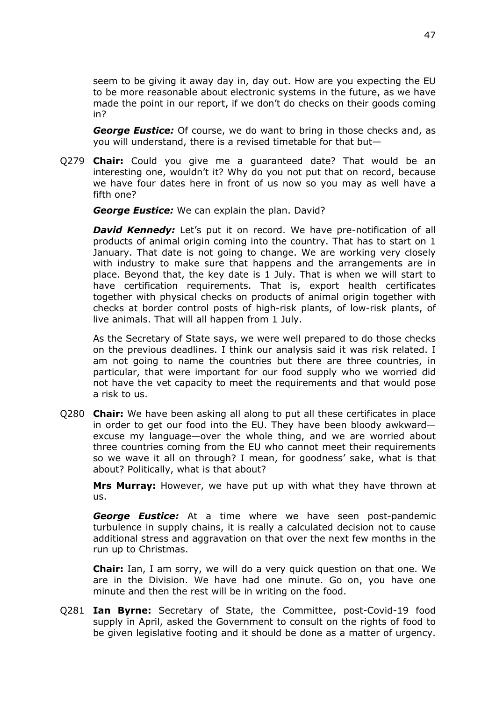seem to be giving it away day in, day out. How are you expecting the EU to be more reasonable about electronic systems in the future, as we have made the point in our report, if we don't do checks on their goods coming in?

*George Eustice:* Of course, we do want to bring in those checks and, as you will understand, there is a revised timetable for that but—

Q279 **Chair:** Could you give me a guaranteed date? That would be an interesting one, wouldn't it? Why do you not put that on record, because we have four dates here in front of us now so you may as well have a fifth one?

*George Eustice:* We can explain the plan. David?

**David Kennedy:** Let's put it on record. We have pre-notification of all products of animal origin coming into the country. That has to start on 1 January. That date is not going to change. We are working very closely with industry to make sure that happens and the arrangements are in place. Beyond that, the key date is 1 July. That is when we will start to have certification requirements. That is, export health certificates together with physical checks on products of animal origin together with checks at border control posts of high-risk plants, of low-risk plants, of live animals. That will all happen from 1 July.

As the Secretary of State says, we were well prepared to do those checks on the previous deadlines. I think our analysis said it was risk related. I am not going to name the countries but there are three countries, in particular, that were important for our food supply who we worried did not have the vet capacity to meet the requirements and that would pose a risk to us.

Q280 **Chair:** We have been asking all along to put all these certificates in place in order to get our food into the EU. They have been bloody awkward excuse my language—over the whole thing, and we are worried about three countries coming from the EU who cannot meet their requirements so we wave it all on through? I mean, for goodness' sake, what is that about? Politically, what is that about?

**Mrs Murray:** However, we have put up with what they have thrown at us.

*George Eustice:* At a time where we have seen post-pandemic turbulence in supply chains, it is really a calculated decision not to cause additional stress and aggravation on that over the next few months in the run up to Christmas.

**Chair:** Ian, I am sorry, we will do a very quick question on that one. We are in the Division. We have had one minute. Go on, you have one minute and then the rest will be in writing on the food.

Q281 **Ian Byrne:** Secretary of State, the Committee, post-Covid-19 food supply in April, asked the Government to consult on the rights of food to be given legislative footing and it should be done as a matter of urgency.